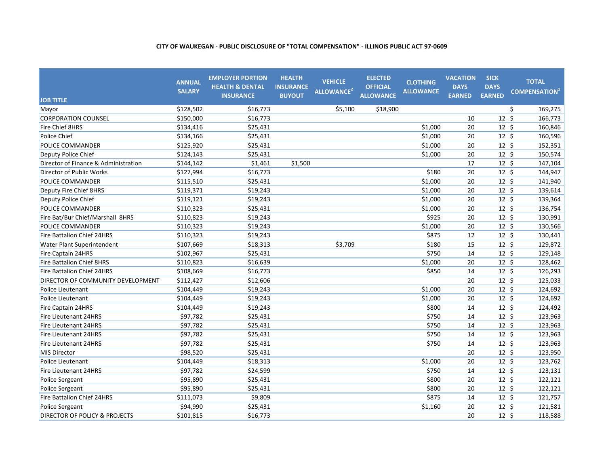| <b>JOB TITLE</b>                         | <b>ANNUAL</b><br><b>SALARY</b> | <b>EMPLOYER PORTION</b><br><b>HEALTH &amp; DENTAL</b><br><b>INSURANCE</b> | <b>HEALTH</b><br><b>INSURANCE</b><br><b>BUYOUT</b> | <b>VEHICLE</b><br>ALLOWANCE <sup>2</sup> | <b>ELECTED</b><br><b>OFFICIAL</b><br><b>ALLOWANCE</b> | <b>CLOTHING</b><br><b>ALLOWANCE</b> | <b>VACATION</b><br><b>DAYS</b><br><b>EARNED</b> | <b>SICK</b><br><b>DAYS</b><br><b>EARNED</b> | <b>TOTAL</b><br><b>COMPENSATION</b> <sup>1</sup> |
|------------------------------------------|--------------------------------|---------------------------------------------------------------------------|----------------------------------------------------|------------------------------------------|-------------------------------------------------------|-------------------------------------|-------------------------------------------------|---------------------------------------------|--------------------------------------------------|
| Mayor                                    | \$128,502                      | \$16,773                                                                  |                                                    | \$5,100                                  | \$18,900                                              |                                     |                                                 |                                             | \$<br>169,275                                    |
| <b>CORPORATION COUNSEL</b>               | \$150,000                      | \$16,773                                                                  |                                                    |                                          |                                                       |                                     | 10                                              | $12 \;$ \$                                  | 166,773                                          |
| Fire Chief 8HRS                          | \$134,416                      | \$25,431                                                                  |                                                    |                                          |                                                       | \$1,000                             | 20                                              | $12 \; \text{S}$                            | 160,846                                          |
| Police Chief                             | \$134,166                      | \$25,431                                                                  |                                                    |                                          |                                                       | \$1,000                             | 20                                              | 12 <sup>5</sup>                             | 160,596                                          |
| POLICE COMMANDER                         | \$125,920                      | \$25,431                                                                  |                                                    |                                          |                                                       | \$1,000                             | 20                                              | $12 \;$ \$                                  | 152,351                                          |
| Deputy Police Chief                      | \$124,143                      | \$25,431                                                                  |                                                    |                                          |                                                       | \$1,000                             | 20                                              | $12 \;$ \$                                  | 150,574                                          |
| Director of Finance & Administration     | \$144,142                      | \$1,461                                                                   | \$1,500                                            |                                          |                                                       |                                     | 17                                              | $12 \div$                                   | 147,104                                          |
| Director of Public Works                 | \$127,994                      | \$16,773                                                                  |                                                    |                                          |                                                       | \$180                               | 20                                              | $12 \; \text{S}$                            | 144,947                                          |
| POLICE COMMANDER                         | \$115,510                      | \$25,431                                                                  |                                                    |                                          |                                                       | \$1,000                             | 20                                              | $12 \div$                                   | 141,940                                          |
| Deputy Fire Chief 8HRS                   | \$119,371                      | \$19,243                                                                  |                                                    |                                          |                                                       | \$1,000                             | 20                                              | $12 \; \text{S}$                            | 139,614                                          |
| Deputy Police Chief                      | \$119,121                      | \$19,243                                                                  |                                                    |                                          |                                                       | \$1,000                             | 20                                              | $12 \; \text{S}$                            | 139,364                                          |
| POLICE COMMANDER                         | \$110,323                      | \$25,431                                                                  |                                                    |                                          |                                                       | \$1,000                             | 20                                              | $12 \; \text{S}$                            | 136,754                                          |
| Fire Bat/Bur Chief/Marshall 8HRS         | \$110,823                      | \$19,243                                                                  |                                                    |                                          |                                                       | \$925                               | 20                                              | $12 \; \text{S}$                            | 130,991                                          |
| POLICE COMMANDER                         | \$110,323                      | \$19,243                                                                  |                                                    |                                          |                                                       | \$1,000                             | 20                                              | $12 \; \text{S}$                            | 130,566                                          |
| Fire Battalion Chief 24HRS               | \$110,323                      | \$19,243                                                                  |                                                    |                                          |                                                       | \$875                               | 12                                              | $12 \; \text{S}$                            | 130,441                                          |
| Water Plant Superintendent               | \$107,669                      | \$18,313                                                                  |                                                    | \$3,709                                  |                                                       | \$180                               | 15                                              | $12 \; \text{S}$                            | 129,872                                          |
| Fire Captain 24HRS                       | \$102,967                      | \$25,431                                                                  |                                                    |                                          |                                                       | \$750                               | 14                                              | $12 \; \text{S}$                            | 129,148                                          |
| <b>Fire Battalion Chief 8HRS</b>         | \$110,823                      | \$16,639                                                                  |                                                    |                                          |                                                       | \$1,000                             | 20                                              | $12 \; \text{S}$                            | 128,462                                          |
| Fire Battalion Chief 24HRS               | \$108,669                      | \$16,773                                                                  |                                                    |                                          |                                                       | \$850                               | 14                                              | $12 \; \text{S}$                            | 126,293                                          |
| DIRECTOR OF COMMUNITY DEVELOPMENT        | \$112,427                      | \$12,606                                                                  |                                                    |                                          |                                                       |                                     | 20                                              | $12 \;$ \$                                  | 125,033                                          |
| Police Lieutenant                        | \$104,449                      | \$19,243                                                                  |                                                    |                                          |                                                       | \$1,000                             | 20                                              | $12 \div$                                   | 124,692                                          |
| Police Lieutenant                        | \$104,449                      | \$19,243                                                                  |                                                    |                                          |                                                       | \$1,000                             | 20                                              | $12\overline{5}$                            | 124,692                                          |
| Fire Captain 24HRS                       | \$104,449                      | \$19,243                                                                  |                                                    |                                          |                                                       | \$800                               | 14                                              | $12 \div$                                   | 124,492                                          |
| Fire Lieutenant 24HRS                    | \$97,782                       | \$25,431                                                                  |                                                    |                                          |                                                       | \$750                               | 14                                              | $12 \; \text{S}$                            | 123,963                                          |
| Fire Lieutenant 24HRS                    | \$97,782                       | \$25,431                                                                  |                                                    |                                          |                                                       | \$750                               | 14                                              | $12 \; \text{S}$                            | 123,963                                          |
| Fire Lieutenant 24HRS                    | \$97,782                       | \$25,431                                                                  |                                                    |                                          |                                                       | \$750                               | 14                                              | $12 \; \text{S}$                            | 123,963                                          |
| Fire Lieutenant 24HRS                    | \$97,782                       | \$25,431                                                                  |                                                    |                                          |                                                       | \$750                               | 14                                              | $12 \; \text{S}$                            | 123,963                                          |
| <b>MIS Director</b>                      | \$98,520                       | \$25,431                                                                  |                                                    |                                          |                                                       |                                     | 20                                              | $12 \; \text{S}$                            | 123,950                                          |
| Police Lieutenant                        | \$104,449                      | \$18,313                                                                  |                                                    |                                          |                                                       | \$1,000                             | 20                                              | $12 \;$ \$                                  | 123,762                                          |
| Fire Lieutenant 24HRS                    | \$97,782                       | \$24,599                                                                  |                                                    |                                          |                                                       | \$750                               | 14                                              | $12 \; \text{S}$                            | 123,131                                          |
| <b>Police Sergeant</b>                   | \$95,890                       | \$25,431                                                                  |                                                    |                                          |                                                       | \$800                               | 20                                              | 12 <sup>5</sup>                             | 122,121                                          |
| Police Sergeant                          | \$95,890                       | \$25,431                                                                  |                                                    |                                          |                                                       | \$800                               | 20                                              | $12 \; \text{S}$                            | 122,121                                          |
| Fire Battalion Chief 24HRS               | \$111,073                      | \$9,809                                                                   |                                                    |                                          |                                                       | \$875                               | 14                                              | 12 <sup>5</sup>                             | 121,757                                          |
| Police Sergeant                          | \$94,990                       | \$25,431                                                                  |                                                    |                                          |                                                       | \$1,160                             | 20                                              | 12 <sup>5</sup>                             | 121,581                                          |
| <b>DIRECTOR OF POLICY &amp; PROJECTS</b> | \$101,815                      | \$16,773                                                                  |                                                    |                                          |                                                       |                                     | 20                                              | $12 \; \text{S}$                            | 118,588                                          |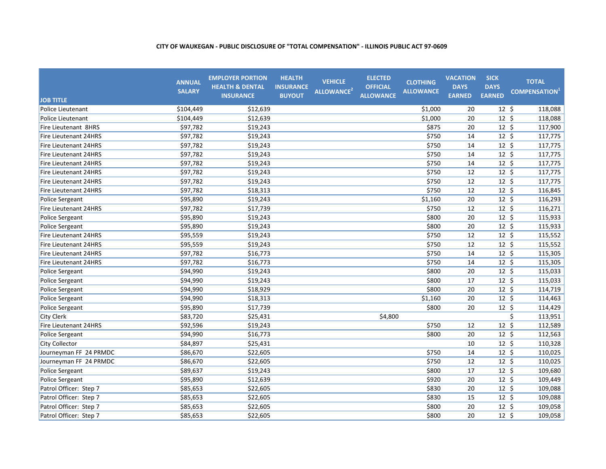| <b>JOB TITLE</b>       | <b>ANNUAL</b><br><b>SALARY</b> | <b>EMPLOYER PORTION</b><br><b>HEALTH &amp; DENTAL</b><br><b>INSURANCE</b> | <b>HEALTH</b><br><b>INSURANCE</b><br><b>BUYOUT</b> | <b>VEHICLE</b><br>ALLOWANCE <sup>2</sup> | <b>ELECTED</b><br><b>OFFICIAL</b><br><b>ALLOWANCE</b> | <b>CLOTHING</b><br><b>ALLOWANCE</b> | <b>VACATION</b><br><b>DAYS</b><br><b>EARNED</b> | <b>SICK</b><br><b>DAYS</b><br><b>EARNED</b> | <b>TOTAL</b><br><b>COMPENSATION</b> <sup>1</sup> |
|------------------------|--------------------------------|---------------------------------------------------------------------------|----------------------------------------------------|------------------------------------------|-------------------------------------------------------|-------------------------------------|-------------------------------------------------|---------------------------------------------|--------------------------------------------------|
| Police Lieutenant      | \$104,449                      | \$12,639                                                                  |                                                    |                                          |                                                       | \$1,000                             | 20                                              | $12 \; \text{S}$                            | 118,088                                          |
| Police Lieutenant      | \$104,449                      | \$12,639                                                                  |                                                    |                                          |                                                       | \$1,000                             | 20                                              | $12 \; \text{S}$                            | 118,088                                          |
| Fire Lieutenant 8HRS   | \$97,782                       | \$19,243                                                                  |                                                    |                                          |                                                       | \$875                               | 20                                              | $12 \; \text{S}$                            | 117,900                                          |
| Fire Lieutenant 24HRS  | \$97,782                       | \$19,243                                                                  |                                                    |                                          |                                                       | \$750                               | 14                                              | $12 \; \text{S}$                            | 117,775                                          |
| Fire Lieutenant 24HRS  | \$97,782                       | \$19,243                                                                  |                                                    |                                          |                                                       | \$750                               | 14                                              | $12 \; \text{S}$                            | 117,775                                          |
| Fire Lieutenant 24HRS  | \$97,782                       | \$19,243                                                                  |                                                    |                                          |                                                       | \$750                               | 14                                              | $12 \; \text{S}$                            | 117,775                                          |
| Fire Lieutenant 24HRS  | \$97,782                       | \$19,243                                                                  |                                                    |                                          |                                                       | \$750                               | 14                                              | $12 \; \text{S}$                            | 117,775                                          |
| Fire Lieutenant 24HRS  | \$97,782                       | \$19,243                                                                  |                                                    |                                          |                                                       | \$750                               | 12                                              | $12 \; \text{S}$                            | 117,775                                          |
| Fire Lieutenant 24HRS  | \$97,782                       | \$19,243                                                                  |                                                    |                                          |                                                       | \$750                               | 12                                              | $12 \; \text{S}$                            | 117,775                                          |
| Fire Lieutenant 24HRS  | \$97,782                       | \$18,313                                                                  |                                                    |                                          |                                                       | \$750                               | 12                                              | $12 \; \text{S}$                            | 116,845                                          |
| Police Sergeant        | \$95,890                       | \$19,243                                                                  |                                                    |                                          |                                                       | \$1,160                             | 20                                              | $12 \; \text{S}$                            | 116,293                                          |
| Fire Lieutenant 24HRS  | \$97,782                       | \$17,739                                                                  |                                                    |                                          |                                                       | \$750                               | 12                                              | $12 \; \xi$                                 | 116,271                                          |
| Police Sergeant        | \$95,890                       | \$19,243                                                                  |                                                    |                                          |                                                       | \$800                               | 20                                              | $12 \; \text{S}$                            | 115,933                                          |
| Police Sergeant        | \$95,890                       | \$19,243                                                                  |                                                    |                                          |                                                       | \$800                               | 20                                              | $12 \; \text{S}$                            | 115,933                                          |
| Fire Lieutenant 24HRS  | \$95,559                       | \$19,243                                                                  |                                                    |                                          |                                                       | \$750                               | 12                                              | $12 \; \text{S}$                            | 115,552                                          |
| Fire Lieutenant 24HRS  | \$95,559                       | \$19,243                                                                  |                                                    |                                          |                                                       | \$750                               | 12                                              | $12 \; \text{S}$                            | 115,552                                          |
| Fire Lieutenant 24HRS  | \$97,782                       | \$16,773                                                                  |                                                    |                                          |                                                       | \$750                               | 14                                              | $12 \; \text{S}$                            | 115,305                                          |
| Fire Lieutenant 24HRS  | \$97,782                       | \$16,773                                                                  |                                                    |                                          |                                                       | \$750                               | 14                                              | $12 \; \text{S}$                            | 115,305                                          |
| Police Sergeant        | \$94,990                       | \$19,243                                                                  |                                                    |                                          |                                                       | \$800                               | 20                                              | $12 \; \text{S}$                            | 115,033                                          |
| Police Sergeant        | \$94,990                       | \$19,243                                                                  |                                                    |                                          |                                                       | \$800                               | 17                                              | $12 \; \text{S}$                            | 115,033                                          |
| Police Sergeant        | \$94,990                       | \$18,929                                                                  |                                                    |                                          |                                                       | \$800                               | 20                                              | $12 \; \text{S}$                            | 114,719                                          |
| Police Sergeant        | \$94,990                       | \$18,313                                                                  |                                                    |                                          |                                                       | \$1,160                             | 20                                              | $12 \; \text{S}$                            | 114,463                                          |
| Police Sergeant        | \$95,890                       | \$17,739                                                                  |                                                    |                                          |                                                       | \$800                               | 20                                              | $12 \; \text{S}$                            | 114,429                                          |
| City Clerk             | \$83,720                       | \$25,431                                                                  |                                                    |                                          | \$4,800                                               |                                     |                                                 |                                             | \$<br>113,951                                    |
| Fire Lieutenant 24HRS  | \$92,596                       | \$19,243                                                                  |                                                    |                                          |                                                       | \$750                               | 12                                              | $12 \;$ \$                                  | 112,589                                          |
| Police Sergeant        | \$94,990                       | \$16,773                                                                  |                                                    |                                          |                                                       | \$800                               | 20                                              | $12 \; \text{S}$                            | 112,563                                          |
| City Collector         | \$84,897                       | \$25,431                                                                  |                                                    |                                          |                                                       |                                     | 10                                              | $12 \; \text{S}$                            | 110,328                                          |
| Journeyman FF 24 PRMDC | \$86,670                       | \$22,605                                                                  |                                                    |                                          |                                                       | \$750                               | 14                                              | $12 \; \text{S}$                            | 110,025                                          |
| Journeyman FF 24 PRMDC | \$86,670                       | \$22,605                                                                  |                                                    |                                          |                                                       | \$750                               | 12                                              | $12 \; \text{S}$                            | 110,025                                          |
| Police Sergeant        | \$89,637                       | \$19,243                                                                  |                                                    |                                          |                                                       | \$800                               | 17                                              | $12 \; \text{S}$                            | 109,680                                          |
| Police Sergeant        | \$95,890                       | \$12,639                                                                  |                                                    |                                          |                                                       | \$920                               | 20                                              | $12 \; \text{S}$                            | 109,449                                          |
| Patrol Officer: Step 7 | \$85,653                       | \$22,605                                                                  |                                                    |                                          |                                                       | \$830                               | 20                                              | $12 \; \text{S}$                            | 109,088                                          |
| Patrol Officer: Step 7 | \$85,653                       | \$22,605                                                                  |                                                    |                                          |                                                       | \$830                               | 15                                              | $12 \;$ \$                                  | 109,088                                          |
| Patrol Officer: Step 7 | \$85,653                       | \$22,605                                                                  |                                                    |                                          |                                                       | \$800                               | 20                                              | $12 \; \text{S}$                            | 109,058                                          |
| Patrol Officer: Step 7 | \$85,653                       | \$22,605                                                                  |                                                    |                                          |                                                       | \$800                               | 20                                              | $12 \; \text{S}$                            | 109,058                                          |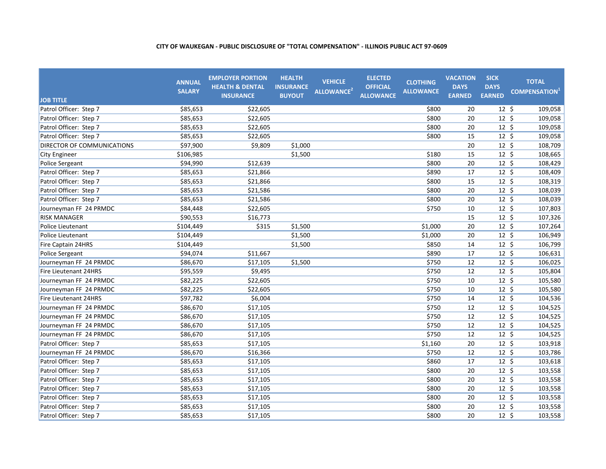| <b>JOB TITLE</b>           | <b>ANNUAL</b><br><b>SALARY</b> | <b>EMPLOYER PORTION</b><br><b>HEALTH &amp; DENTAL</b><br><b>INSURANCE</b> | <b>HEALTH</b><br><b>INSURANCE</b><br><b>BUYOUT</b> | <b>VEHICLE</b><br>ALLOWANCE <sup>2</sup> | <b>ELECTED</b><br><b>OFFICIAL</b><br><b>ALLOWANCE</b> | <b>CLOTHING</b><br><b>ALLOWANCE</b> | <b>VACATION</b><br><b>DAYS</b><br><b>EARNED</b> | <b>SICK</b><br><b>DAYS</b><br><b>EARNED</b> | <b>TOTAL</b><br><b>COMPENSATION</b> <sup>1</sup> |
|----------------------------|--------------------------------|---------------------------------------------------------------------------|----------------------------------------------------|------------------------------------------|-------------------------------------------------------|-------------------------------------|-------------------------------------------------|---------------------------------------------|--------------------------------------------------|
| Patrol Officer: Step 7     | \$85,653                       | \$22,605                                                                  |                                                    |                                          |                                                       | \$800                               | 20                                              | $12 \; \text{S}$                            | 109,058                                          |
| Patrol Officer: Step 7     | \$85,653                       | \$22,605                                                                  |                                                    |                                          |                                                       | \$800                               | 20                                              | 12 <sup>5</sup>                             | 109,058                                          |
| Patrol Officer: Step 7     | \$85,653                       | \$22,605                                                                  |                                                    |                                          |                                                       | \$800                               | 20                                              | $12 \; \text{S}$                            | 109,058                                          |
| Patrol Officer: Step 7     | \$85,653                       | \$22,605                                                                  |                                                    |                                          |                                                       | \$800                               | 15                                              | $12 \text{ } 5$                             | 109,058                                          |
| DIRECTOR OF COMMUNICATIONS | \$97,900                       | \$9,809                                                                   | \$1,000                                            |                                          |                                                       |                                     | 20                                              | $12 \;$ \$                                  | 108,709                                          |
| <b>City Engineer</b>       | \$106,985                      |                                                                           | \$1,500                                            |                                          |                                                       | \$180                               | 15                                              | $12 \;$ \$                                  | 108,665                                          |
| Police Sergeant            | \$94,990                       | \$12,639                                                                  |                                                    |                                          |                                                       | \$800                               | 20                                              | $12 \; \text{S}$                            | 108,429                                          |
| Patrol Officer: Step 7     | \$85,653                       | \$21,866                                                                  |                                                    |                                          |                                                       | \$890                               | 17                                              | $12 \; \text{S}$                            | 108,409                                          |
| Patrol Officer: Step 7     | \$85,653                       | \$21,866                                                                  |                                                    |                                          |                                                       | \$800                               | 15                                              | $12 \div$                                   | 108,319                                          |
| Patrol Officer: Step 7     | \$85,653                       | \$21,586                                                                  |                                                    |                                          |                                                       | \$800                               | 20                                              | $12 \; \text{S}$                            | 108,039                                          |
| Patrol Officer: Step 7     | \$85,653                       | \$21,586                                                                  |                                                    |                                          |                                                       | \$800                               | 20                                              | $12 \; \text{S}$                            | 108,039                                          |
| Journeyman FF 24 PRMDC     | \$84,448                       | \$22,605                                                                  |                                                    |                                          |                                                       | \$750                               | 10                                              | $12 \; \text{S}$                            | 107,803                                          |
| <b>RISK MANAGER</b>        | \$90,553                       | \$16,773                                                                  |                                                    |                                          |                                                       |                                     | 15                                              | $12 \; \text{S}$                            | 107,326                                          |
| Police Lieutenant          | \$104,449                      | \$315                                                                     | \$1,500                                            |                                          |                                                       | \$1,000                             | 20                                              | $12 \; \text{S}$                            | 107,264                                          |
| Police Lieutenant          | \$104,449                      |                                                                           | \$1,500                                            |                                          |                                                       | \$1,000                             | 20                                              | $12 \; \text{S}$                            | 106,949                                          |
| Fire Captain 24HRS         | \$104,449                      |                                                                           | \$1,500                                            |                                          |                                                       | \$850                               | 14                                              | $12 \; \text{S}$                            | 106,799                                          |
| Police Sergeant            | \$94,074                       | \$11,667                                                                  |                                                    |                                          |                                                       | \$890                               | 17                                              | $12 \; \text{S}$                            | 106,631                                          |
| Journeyman FF 24 PRMDC     | \$86,670                       | \$17,105                                                                  | \$1,500                                            |                                          |                                                       | \$750                               | 12                                              | $12 \; \text{S}$                            | 106,025                                          |
| Fire Lieutenant 24HRS      | \$95,559                       | \$9,495                                                                   |                                                    |                                          |                                                       | \$750                               | 12                                              | $12 \; \text{S}$                            | 105,804                                          |
| Journeyman FF 24 PRMDC     | \$82,225                       | \$22,605                                                                  |                                                    |                                          |                                                       | \$750                               | 10                                              | $12 \;$ \$                                  | 105,580                                          |
| Journeyman FF 24 PRMDC     | \$82,225                       | \$22,605                                                                  |                                                    |                                          |                                                       | \$750                               | 10                                              | $12 \div$                                   | 105,580                                          |
| Fire Lieutenant 24HRS      | \$97,782                       | \$6,004                                                                   |                                                    |                                          |                                                       | \$750                               | 14                                              | $12 \div$                                   | 104,536                                          |
| Journeyman FF 24 PRMDC     | \$86,670                       | \$17,105                                                                  |                                                    |                                          |                                                       | \$750                               | 12                                              | $12 \; \text{S}$                            | 104,525                                          |
| Journeyman FF 24 PRMDC     | \$86,670                       | \$17,105                                                                  |                                                    |                                          |                                                       | \$750                               | 12                                              | $12 \; \text{S}$                            | 104,525                                          |
| Journeyman FF 24 PRMDC     | \$86,670                       | \$17,105                                                                  |                                                    |                                          |                                                       | \$750                               | 12                                              | $12 \; \text{S}$                            | 104,525                                          |
| Journeyman FF 24 PRMDC     | \$86,670                       | \$17,105                                                                  |                                                    |                                          |                                                       | \$750                               | 12                                              | $12 \; \text{S}$                            | 104,525                                          |
| Patrol Officer: Step 7     | \$85,653                       | \$17,105                                                                  |                                                    |                                          |                                                       | \$1,160                             | 20                                              | $12 \; \text{S}$                            | 103,918                                          |
| Journeyman FF 24 PRMDC     | \$86,670                       | \$16,366                                                                  |                                                    |                                          |                                                       | \$750                               | 12                                              | $12 \; \text{S}$                            | 103,786                                          |
| Patrol Officer: Step 7     | \$85,653                       | \$17,105                                                                  |                                                    |                                          |                                                       | \$860                               | 17                                              | $12 \; \xi$                                 | 103,618                                          |
| Patrol Officer: Step 7     | \$85,653                       | \$17,105                                                                  |                                                    |                                          |                                                       | \$800                               | 20                                              | $12 \; \text{S}$                            | 103,558                                          |
| Patrol Officer: Step 7     | \$85,653                       | \$17,105                                                                  |                                                    |                                          |                                                       | \$800                               | 20                                              | $12 \; \text{S}$                            | 103,558                                          |
| Patrol Officer: Step 7     | \$85,653                       | \$17,105                                                                  |                                                    |                                          |                                                       | \$800                               | 20                                              | $12 \; \text{S}$                            | 103,558                                          |
| Patrol Officer: Step 7     | \$85,653                       | \$17,105                                                                  |                                                    |                                          |                                                       | \$800                               | 20                                              | 12 <sup>5</sup>                             | 103,558                                          |
| Patrol Officer: Step 7     | \$85,653                       | \$17,105                                                                  |                                                    |                                          |                                                       | \$800                               | 20                                              | 12 <sup>5</sup>                             | 103,558                                          |
| Patrol Officer: Step 7     | \$85,653                       | \$17,105                                                                  |                                                    |                                          |                                                       | \$800                               | 20                                              | $12 \; \text{S}$                            | 103,558                                          |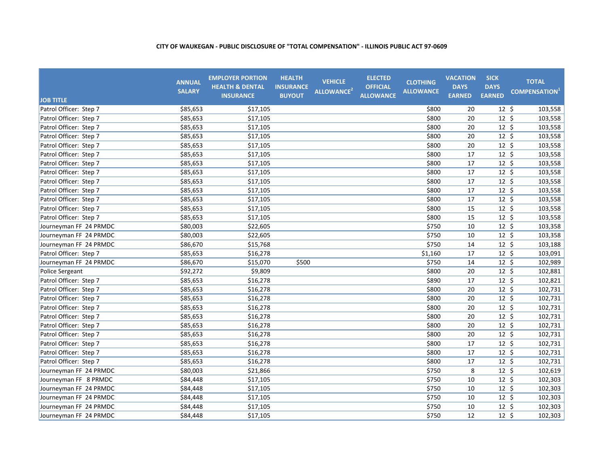| <b>JOB TITLE</b>       | <b>ANNUAL</b><br><b>SALARY</b> | <b>EMPLOYER PORTION</b><br><b>HEALTH &amp; DENTAL</b><br><b>INSURANCE</b> | <b>HEALTH</b><br><b>INSURANCE</b><br><b>BUYOUT</b> | <b>VEHICLE</b><br>ALLOWANCE <sup>2</sup> | <b>ELECTED</b><br><b>OFFICIAL</b><br><b>ALLOWANCE</b> | <b>CLOTHING</b><br><b>ALLOWANCE</b> | <b>VACATION</b><br><b>DAYS</b><br><b>EARNED</b> | <b>SICK</b><br><b>DAYS</b><br><b>EARNED</b> | <b>TOTAL</b><br><b>COMPENSATION</b> <sup>1</sup> |
|------------------------|--------------------------------|---------------------------------------------------------------------------|----------------------------------------------------|------------------------------------------|-------------------------------------------------------|-------------------------------------|-------------------------------------------------|---------------------------------------------|--------------------------------------------------|
| Patrol Officer: Step 7 | \$85,653                       | \$17,105                                                                  |                                                    |                                          |                                                       | \$800                               | 20                                              | $12 \; \text{S}$                            | 103,558                                          |
| Patrol Officer: Step 7 | \$85,653                       | \$17,105                                                                  |                                                    |                                          |                                                       | \$800                               | 20                                              | $12 \; \text{S}$                            | 103,558                                          |
| Patrol Officer: Step 7 | \$85,653                       | \$17,105                                                                  |                                                    |                                          |                                                       | \$800                               | 20                                              | $12 \; \text{S}$                            | 103,558                                          |
| Patrol Officer: Step 7 | \$85,653                       | \$17,105                                                                  |                                                    |                                          |                                                       | \$800                               | 20                                              | $12 \; \text{S}$                            | 103,558                                          |
| Patrol Officer: Step 7 | \$85,653                       | \$17,105                                                                  |                                                    |                                          |                                                       | \$800                               | 20                                              | 12 <sup>5</sup>                             | 103,558                                          |
| Patrol Officer: Step 7 | \$85,653                       | \$17,105                                                                  |                                                    |                                          |                                                       | \$800                               | $\overline{17}$                                 | $12 \; \text{S}$                            | 103,558                                          |
| Patrol Officer: Step 7 | \$85,653                       | \$17,105                                                                  |                                                    |                                          |                                                       | \$800                               | 17                                              | $12 \; \text{S}$                            | 103,558                                          |
| Patrol Officer: Step 7 | \$85,653                       | \$17,105                                                                  |                                                    |                                          |                                                       | \$800                               | 17                                              | $12 \div$                                   | 103,558                                          |
| Patrol Officer: Step 7 | \$85,653                       | \$17,105                                                                  |                                                    |                                          |                                                       | \$800                               | 17                                              | $12 \; \text{S}$                            | 103,558                                          |
| Patrol Officer: Step 7 | \$85,653                       | \$17,105                                                                  |                                                    |                                          |                                                       | \$800                               | 17                                              | $12 \; \text{S}$                            | 103,558                                          |
| Patrol Officer: Step 7 | \$85,653                       | \$17,105                                                                  |                                                    |                                          |                                                       | \$800                               | 17                                              | $12 \; \text{S}$                            | 103,558                                          |
| Patrol Officer: Step 7 | \$85,653                       | \$17,105                                                                  |                                                    |                                          |                                                       | \$800                               | 15                                              | 12 <sup>5</sup>                             | 103,558                                          |
| Patrol Officer: Step 7 | \$85,653                       | \$17,105                                                                  |                                                    |                                          |                                                       | \$800                               | 15                                              | $12 \; \text{S}$                            | 103,558                                          |
| Journeyman FF 24 PRMDC | \$80,003                       | \$22,605                                                                  |                                                    |                                          |                                                       | \$750                               | 10                                              | $12 \; \text{S}$                            | 103,358                                          |
| Journeyman FF 24 PRMDC | \$80,003                       | \$22,605                                                                  |                                                    |                                          |                                                       | \$750                               | 10                                              | $12 \; \text{S}$                            | 103,358                                          |
| Journeyman FF 24 PRMDC | \$86,670                       | \$15,768                                                                  |                                                    |                                          |                                                       | \$750                               | 14                                              | $12 \; \text{S}$                            | 103,188                                          |
| Patrol Officer: Step 7 | \$85,653                       | \$16,278                                                                  |                                                    |                                          |                                                       | \$1,160                             | 17                                              | $12 \; \text{S}$                            | 103,091                                          |
| Journeyman FF 24 PRMDC | \$86,670                       | \$15,070                                                                  | \$500                                              |                                          |                                                       | \$750                               | 14                                              | $12 \; \text{S}$                            | 102,989                                          |
| Police Sergeant        | \$92,272                       | \$9,809                                                                   |                                                    |                                          |                                                       | \$800                               | 20                                              | $12 \; \text{S}$                            | 102,881                                          |
| Patrol Officer: Step 7 | \$85,653                       | \$16,278                                                                  |                                                    |                                          |                                                       | \$890                               | 17                                              | $12 \; \text{S}$                            | 102,821                                          |
| Patrol Officer: Step 7 | \$85,653                       | \$16,278                                                                  |                                                    |                                          |                                                       | \$800                               | 20                                              | $12 \; \text{S}$                            | 102,731                                          |
| Patrol Officer: Step 7 | \$85,653                       | \$16,278                                                                  |                                                    |                                          |                                                       | \$800                               | 20                                              | $12 \; \text{S}$                            | 102,731                                          |
| Patrol Officer: Step 7 | \$85,653                       | \$16,278                                                                  |                                                    |                                          |                                                       | \$800                               | 20                                              | $12 \; \text{S}$                            | 102,731                                          |
| Patrol Officer: Step 7 | \$85,653                       | \$16,278                                                                  |                                                    |                                          |                                                       | \$800                               | 20                                              | $12 \; \text{S}$                            | 102,731                                          |
| Patrol Officer: Step 7 | \$85,653                       | \$16,278                                                                  |                                                    |                                          |                                                       | \$800                               | 20                                              | $12 \; \text{S}$                            | 102,731                                          |
| Patrol Officer: Step 7 | \$85,653                       | \$16,278                                                                  |                                                    |                                          |                                                       | \$800                               | 20                                              | $12 \; \text{S}$                            | 102,731                                          |
| Patrol Officer: Step 7 | \$85,653                       | \$16,278                                                                  |                                                    |                                          |                                                       | \$800                               | 17                                              | $12 \; \text{S}$                            | 102,731                                          |
| Patrol Officer: Step 7 | \$85,653                       | \$16,278                                                                  |                                                    |                                          |                                                       | \$800                               | 17                                              | $12 \; \text{S}$                            | 102,731                                          |
| Patrol Officer: Step 7 | \$85,653                       | \$16,278                                                                  |                                                    |                                          |                                                       | \$800                               | 17                                              | $12 \; \text{S}$                            | 102,731                                          |
| Journeyman FF 24 PRMDC | \$80,003                       | \$21,866                                                                  |                                                    |                                          |                                                       | \$750                               | 8                                               | $12 \; \text{S}$                            | 102,619                                          |
| Journeyman FF 8 PRMDC  | \$84,448                       | \$17,105                                                                  |                                                    |                                          |                                                       | \$750                               | 10                                              | $12 \; \text{S}$                            | 102,303                                          |
| Journeyman FF 24 PRMDC | \$84,448                       | \$17,105                                                                  |                                                    |                                          |                                                       | \$750                               | 10                                              | $12 \; \text{S}$                            | 102,303                                          |
| Journeyman FF 24 PRMDC | \$84,448                       | \$17,105                                                                  |                                                    |                                          |                                                       | \$750                               | 10                                              | $12 \; \text{S}$                            | 102,303                                          |
| Journeyman FF 24 PRMDC | \$84,448                       | \$17,105                                                                  |                                                    |                                          |                                                       | \$750                               | 10                                              | $12 \; \text{S}$                            | 102,303                                          |
| Journeyman FF 24 PRMDC | \$84,448                       | \$17,105                                                                  |                                                    |                                          |                                                       | \$750                               | 12                                              | $12 \; \text{S}$                            | 102,303                                          |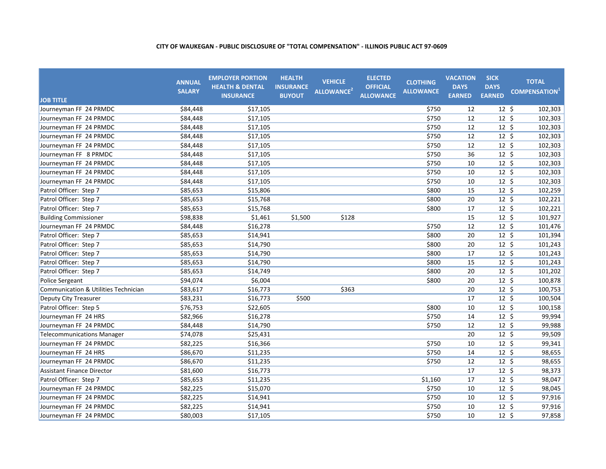| <b>JOB TITLE</b>                     | <b>ANNUAL</b><br><b>SALARY</b> | <b>EMPLOYER PORTION</b><br><b>HEALTH &amp; DENTAL</b><br><b>INSURANCE</b> | <b>HEALTH</b><br><b>INSURANCE</b><br><b>BUYOUT</b> | <b>VEHICLE</b><br>ALLOWANCE <sup>2</sup> | <b>ELECTED</b><br><b>OFFICIAL</b><br><b>ALLOWANCE</b> | <b>CLOTHING</b><br><b>ALLOWANCE</b> | <b>VACATION</b><br><b>DAYS</b><br><b>EARNED</b> | <b>SICK</b><br><b>DAYS</b><br><b>EARNED</b> | <b>TOTAL</b><br><b>COMPENSATION</b> |
|--------------------------------------|--------------------------------|---------------------------------------------------------------------------|----------------------------------------------------|------------------------------------------|-------------------------------------------------------|-------------------------------------|-------------------------------------------------|---------------------------------------------|-------------------------------------|
| Journeyman FF 24 PRMDC               | \$84,448                       | \$17,105                                                                  |                                                    |                                          |                                                       | \$750                               | 12                                              | $12 \; \text{S}$                            | 102,303                             |
| Journeyman FF 24 PRMDC               | \$84,448                       | \$17,105                                                                  |                                                    |                                          |                                                       | \$750                               | 12                                              | $12 \; \text{S}$                            | 102,303                             |
| Journeyman FF 24 PRMDC               | \$84,448                       | \$17,105                                                                  |                                                    |                                          |                                                       | \$750                               | 12                                              | $12 \; \text{S}$                            | 102,303                             |
| Journeyman FF 24 PRMDC               | \$84,448                       | \$17,105                                                                  |                                                    |                                          |                                                       | \$750                               | 12                                              | $12 \; \text{S}$                            | 102,303                             |
| Journeyman FF 24 PRMDC               | \$84,448                       | \$17,105                                                                  |                                                    |                                          |                                                       | \$750                               | 12                                              | $12 \; \text{S}$                            | 102,303                             |
| Journeyman FF 8 PRMDC                | \$84,448                       | \$17,105                                                                  |                                                    |                                          |                                                       | \$750                               | 36                                              | $12 \text{ } 5$                             | 102,303                             |
| Journeyman FF 24 PRMDC               | \$84,448                       | \$17,105                                                                  |                                                    |                                          |                                                       | \$750                               | 10                                              | $12 \; \text{S}$                            | 102,303                             |
| Journeyman FF 24 PRMDC               | \$84,448                       | \$17,105                                                                  |                                                    |                                          |                                                       | \$750                               | 10                                              | $12 \;$ \$                                  | 102,303                             |
| Journeyman FF 24 PRMDC               | \$84,448                       | \$17,105                                                                  |                                                    |                                          |                                                       | \$750                               | 10                                              | $12 \div$                                   | 102,303                             |
| Patrol Officer: Step 7               | \$85,653                       | \$15,806                                                                  |                                                    |                                          |                                                       | \$800                               | 15                                              | $12 \;$ \$                                  | 102,259                             |
| Patrol Officer: Step 7               | \$85,653                       | \$15,768                                                                  |                                                    |                                          |                                                       | \$800                               | 20                                              | $12 \; \text{S}$                            | 102,221                             |
| Patrol Officer: Step 7               | \$85,653                       | \$15,768                                                                  |                                                    |                                          |                                                       | \$800                               | 17                                              | $12 \text{ } 5$                             | 102,221                             |
| <b>Building Commissioner</b>         | \$98,838                       | \$1,461                                                                   | \$1,500                                            | \$128                                    |                                                       |                                     | 15                                              | $12 \; \text{S}$                            | 101,927                             |
| Journeyman FF 24 PRMDC               | \$84,448                       | \$16,278                                                                  |                                                    |                                          |                                                       | \$750                               | 12                                              | $12 \; \text{S}$                            | 101,476                             |
| Patrol Officer: Step 7               | \$85,653                       | \$14,941                                                                  |                                                    |                                          |                                                       | \$800                               | 20                                              | $12 \; \text{S}$                            | 101,394                             |
| Patrol Officer: Step 7               | \$85,653                       | \$14,790                                                                  |                                                    |                                          |                                                       | \$800                               | 20                                              | $12 \; \text{S}$                            | 101,243                             |
| Patrol Officer: Step 7               | \$85,653                       | \$14,790                                                                  |                                                    |                                          |                                                       | \$800                               | 17                                              | $12 \; \text{S}$                            | 101,243                             |
| Patrol Officer: Step 7               | \$85,653                       | \$14,790                                                                  |                                                    |                                          |                                                       | \$800                               | 15                                              | $12 \; \text{S}$                            | 101,243                             |
| Patrol Officer: Step 7               | \$85,653                       | \$14,749                                                                  |                                                    |                                          |                                                       | \$800                               | 20                                              | $12 \; \text{S}$                            | 101,202                             |
| Police Sergeant                      | \$94,074                       | \$6,004                                                                   |                                                    |                                          |                                                       | \$800                               | 20                                              | $12 \text{ } 5$                             | 100,878                             |
| Communication & Utilities Technician | \$83,617                       | \$16,773                                                                  |                                                    | \$363                                    |                                                       |                                     | 20                                              | $12 \; \text{S}$                            | 100,753                             |
| Deputy City Treasurer                | \$83,231                       | \$16,773                                                                  | \$500                                              |                                          |                                                       |                                     | 17                                              | $12 \; \text{S}$                            | 100,504                             |
| Patrol Officer: Step 5               | \$76,753                       | \$22,605                                                                  |                                                    |                                          |                                                       | \$800                               | 10                                              | $12 \; \text{S}$                            | 100,158                             |
| Journeyman FF 24 HRS                 | \$82,966                       | \$16,278                                                                  |                                                    |                                          |                                                       | \$750                               | 14                                              | $12 \; \text{S}$                            | 99,994                              |
| Journeyman FF 24 PRMDC               | \$84,448                       | \$14,790                                                                  |                                                    |                                          |                                                       | \$750                               | 12                                              | $12 \; \text{S}$                            | 99,988                              |
| <b>Telecommunications Manager</b>    | \$74,078                       | \$25,431                                                                  |                                                    |                                          |                                                       |                                     | 20                                              | $12 \; \text{S}$                            | 99,509                              |
| Journeyman FF 24 PRMDC               | \$82,225                       | \$16,366                                                                  |                                                    |                                          |                                                       | \$750                               | 10                                              | $12 \; \text{S}$                            | 99,341                              |
| Journeyman FF 24 HRS                 | \$86,670                       | \$11,235                                                                  |                                                    |                                          |                                                       | \$750                               | 14                                              | $12 \; \text{S}$                            | 98,655                              |
| Journeyman FF 24 PRMDC               | \$86,670                       | \$11,235                                                                  |                                                    |                                          |                                                       | \$750                               | 12                                              | $12 \; \text{S}$                            | 98,655                              |
| <b>Assistant Finance Director</b>    | \$81,600                       | \$16,773                                                                  |                                                    |                                          |                                                       |                                     | 17                                              | $12 \; \text{S}$                            | 98,373                              |
| Patrol Officer: Step 7               | \$85,653                       | \$11,235                                                                  |                                                    |                                          |                                                       | \$1,160                             | 17                                              | $12 \;$ \$                                  | 98,047                              |
| Journeyman FF 24 PRMDC               | \$82,225                       | \$15,070                                                                  |                                                    |                                          |                                                       | \$750                               | 10                                              | $12 \; \text{S}$                            | 98,045                              |
| Journeyman FF 24 PRMDC               | \$82,225                       | \$14,941                                                                  |                                                    |                                          |                                                       | \$750                               | 10                                              | $12 \; \text{S}$                            | 97,916                              |
| Journeyman FF 24 PRMDC               | \$82,225                       | \$14,941                                                                  |                                                    |                                          |                                                       | \$750                               | 10                                              | $12 \; \text{S}$                            | 97,916                              |
| Journeyman FF 24 PRMDC               | \$80,003                       | \$17,105                                                                  |                                                    |                                          |                                                       | \$750                               | 10                                              | $12 \; \text{S}$                            | 97,858                              |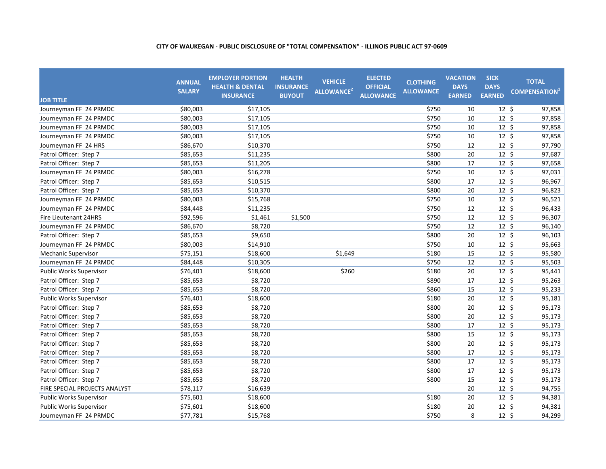| <b>JOB TITLE</b>               | <b>ANNUAL</b><br><b>SALARY</b> | <b>EMPLOYER PORTION</b><br><b>HEALTH &amp; DENTAL</b><br><b>INSURANCE</b> | <b>HEALTH</b><br><b>INSURANCE</b><br><b>BUYOUT</b> | <b>VEHICLE</b><br>ALLOWANCE <sup>2</sup> | <b>ELECTED</b><br><b>OFFICIAL</b><br><b>ALLOWANCE</b> | <b>CLOTHING</b><br><b>ALLOWANCE</b> | <b>VACATION</b><br><b>DAYS</b><br><b>EARNED</b> | <b>SICK</b><br><b>DAYS</b><br><b>EARNED</b> | <b>TOTAL</b><br><b>COMPENSATION</b> |
|--------------------------------|--------------------------------|---------------------------------------------------------------------------|----------------------------------------------------|------------------------------------------|-------------------------------------------------------|-------------------------------------|-------------------------------------------------|---------------------------------------------|-------------------------------------|
| Journeyman FF 24 PRMDC         | \$80,003                       | \$17,105                                                                  |                                                    |                                          |                                                       | \$750                               | 10                                              | $12 \; \text{S}$                            | 97,858                              |
| Journeyman FF 24 PRMDC         | \$80,003                       | \$17,105                                                                  |                                                    |                                          |                                                       | \$750                               | 10                                              | $12 \; \text{S}$                            | 97,858                              |
| Journeyman FF 24 PRMDC         | \$80,003                       | \$17,105                                                                  |                                                    |                                          |                                                       | \$750                               | 10                                              | $12 \; \text{S}$                            | 97,858                              |
| Journeyman FF 24 PRMDC         | \$80,003                       | \$17,105                                                                  |                                                    |                                          |                                                       | \$750                               | 10                                              | $12 \; \text{S}$                            | 97,858                              |
| Journeyman FF 24 HRS           | \$86,670                       | \$10,370                                                                  |                                                    |                                          |                                                       | \$750                               | 12                                              | 12 <sup>5</sup>                             | 97,790                              |
| Patrol Officer: Step 7         | \$85,653                       | \$11,235                                                                  |                                                    |                                          |                                                       | \$800                               | 20                                              | $12 \; \text{S}$                            | 97,687                              |
| Patrol Officer: Step 7         | \$85,653                       | \$11,205                                                                  |                                                    |                                          |                                                       | \$800                               | 17                                              | $12 \; \text{S}$                            | 97,658                              |
| Journeyman FF 24 PRMDC         | \$80,003                       | \$16,278                                                                  |                                                    |                                          |                                                       | \$750                               | 10                                              | $12 \div$                                   | 97,031                              |
| Patrol Officer: Step 7         | \$85,653                       | \$10,515                                                                  |                                                    |                                          |                                                       | \$800                               | 17                                              | $12 \;$ \$                                  | 96,967                              |
| Patrol Officer: Step 7         | \$85,653                       | \$10,370                                                                  |                                                    |                                          |                                                       | \$800                               | 20                                              | $12 \; \text{S}$                            | 96,823                              |
| Journeyman FF 24 PRMDC         | \$80,003                       | \$15,768                                                                  |                                                    |                                          |                                                       | \$750                               | 10                                              | $12 \; \text{S}$                            | 96,521                              |
| Journeyman FF 24 PRMDC         | \$84,448                       | \$11,235                                                                  |                                                    |                                          |                                                       | \$750                               | 12                                              | 12 <sup>5</sup>                             | 96,433                              |
| <b>Fire Lieutenant 24HRS</b>   | \$92,596                       | \$1,461                                                                   | \$1,500                                            |                                          |                                                       | \$750                               | 12                                              | $12 \; \text{S}$                            | 96,307                              |
| Journeyman FF 24 PRMDC         | \$86,670                       | \$8,720                                                                   |                                                    |                                          |                                                       | \$750                               | 12                                              | $12 \; \text{S}$                            | 96,140                              |
| Patrol Officer: Step 7         | \$85,653                       | \$9,650                                                                   |                                                    |                                          |                                                       | \$800                               | 20                                              | $12 \; \text{S}$                            | 96,103                              |
| Journeyman FF 24 PRMDC         | \$80,003                       | \$14,910                                                                  |                                                    |                                          |                                                       | \$750                               | 10                                              | $12 \; \text{S}$                            | 95,663                              |
| Mechanic Supervisor            | \$75,151                       | \$18,600                                                                  |                                                    | \$1,649                                  |                                                       | \$180                               | 15                                              | $12 \; \text{S}$                            | 95,580                              |
| Journeyman FF 24 PRMDC         | \$84,448                       | \$10,305                                                                  |                                                    |                                          |                                                       | \$750                               | 12                                              | $12 \; \text{S}$                            | 95,503                              |
| Public Works Supervisor        | \$76,401                       | \$18,600                                                                  |                                                    | \$260                                    |                                                       | \$180                               | 20                                              | $12 \; \text{S}$                            | 95,441                              |
| Patrol Officer: Step 7         | \$85,653                       | \$8,720                                                                   |                                                    |                                          |                                                       | \$890                               | 17                                              | $12 \; \text{S}$                            | 95,263                              |
| Patrol Officer: Step 7         | \$85,653                       | \$8,720                                                                   |                                                    |                                          |                                                       | \$860                               | 15                                              | $12 \; \text{S}$                            | 95,233                              |
| Public Works Supervisor        | \$76,401                       | \$18,600                                                                  |                                                    |                                          |                                                       | \$180                               | 20                                              | $12 \div$                                   | 95,181                              |
| Patrol Officer: Step 7         | \$85,653                       | \$8,720                                                                   |                                                    |                                          |                                                       | \$800                               | 20                                              | $12 \; \text{S}$                            | 95,173                              |
| Patrol Officer: Step 7         | \$85,653                       | \$8,720                                                                   |                                                    |                                          |                                                       | \$800                               | 20                                              | $12 \; \text{S}$                            | 95,173                              |
| Patrol Officer: Step 7         | \$85,653                       | \$8,720                                                                   |                                                    |                                          |                                                       | \$800                               | 17                                              | $12 \; \xi$                                 | 95,173                              |
| Patrol Officer: Step 7         | \$85.653                       | \$8,720                                                                   |                                                    |                                          |                                                       | \$800                               | 15                                              | $12 \; \text{S}$                            | 95,173                              |
| Patrol Officer: Step 7         | \$85,653                       | \$8,720                                                                   |                                                    |                                          |                                                       | \$800                               | 20                                              | $12 \; \xi$                                 | 95,173                              |
| Patrol Officer: Step 7         | \$85,653                       | \$8,720                                                                   |                                                    |                                          |                                                       | \$800                               | 17                                              | $12 \; \text{S}$                            | 95,173                              |
| Patrol Officer: Step 7         | \$85,653                       | \$8,720                                                                   |                                                    |                                          |                                                       | \$800                               | 17                                              | $12 \; \text{S}$                            | 95,173                              |
| Patrol Officer: Step 7         | \$85,653                       | \$8,720                                                                   |                                                    |                                          |                                                       | \$800                               | 17                                              | $12 \; \text{S}$                            | 95,173                              |
| Patrol Officer: Step 7         | \$85,653                       | \$8,720                                                                   |                                                    |                                          |                                                       | \$800                               | 15                                              | $12 \; \text{S}$                            | 95,173                              |
| FIRE SPECIAL PROJECTS ANALYST  | \$78,117                       | \$16,639                                                                  |                                                    |                                          |                                                       |                                     | 20                                              | $12 \; \text{S}$                            | 94,755                              |
| <b>Public Works Supervisor</b> | \$75,601                       | \$18,600                                                                  |                                                    |                                          |                                                       | \$180                               | 20                                              | $12 \; \text{S}$                            | 94,381                              |
| <b>Public Works Supervisor</b> | \$75,601                       | \$18,600                                                                  |                                                    |                                          |                                                       | \$180                               | 20                                              | $12 \; \text{S}$                            | 94,381                              |
| Journeyman FF 24 PRMDC         | \$77,781                       | \$15,768                                                                  |                                                    |                                          |                                                       | \$750                               | 8                                               | $12 \; \text{S}$                            | 94,299                              |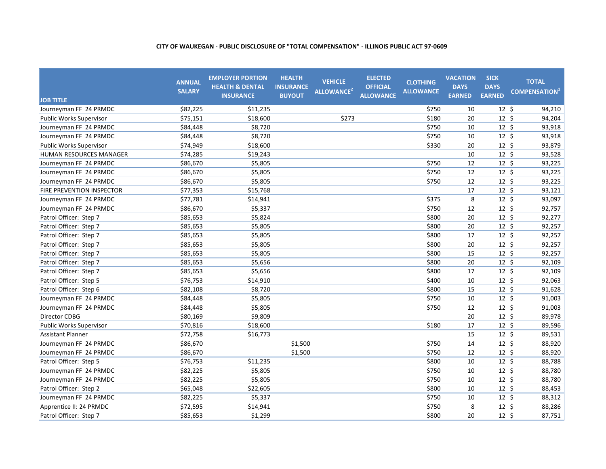| <b>JOB TITLE</b>               | <b>ANNUAL</b><br><b>SALARY</b> | <b>EMPLOYER PORTION</b><br><b>HEALTH &amp; DENTAL</b><br><b>INSURANCE</b> | <b>HEALTH</b><br><b>INSURANCE</b><br><b>BUYOUT</b> | <b>VEHICLE</b><br>ALLOWANCE <sup>2</sup> | <b>ELECTED</b><br><b>OFFICIAL</b><br><b>ALLOWANCE</b> | <b>CLOTHING</b><br><b>ALLOWANCE</b> | <b>VACATION</b><br><b>DAYS</b><br><b>EARNED</b> | <b>SICK</b><br><b>DAYS</b><br><b>EARNED</b> | <b>TOTAL</b><br><b>COMPENSATION</b> <sup>1</sup> |
|--------------------------------|--------------------------------|---------------------------------------------------------------------------|----------------------------------------------------|------------------------------------------|-------------------------------------------------------|-------------------------------------|-------------------------------------------------|---------------------------------------------|--------------------------------------------------|
| Journeyman FF 24 PRMDC         | \$82,225                       | \$11,235                                                                  |                                                    |                                          |                                                       | \$750                               | 10                                              | $12 \;$ \$                                  | 94,210                                           |
| <b>Public Works Supervisor</b> | \$75,151                       | \$18,600                                                                  |                                                    | \$273                                    |                                                       | \$180                               | 20                                              | $12 \text{ } 5$                             | 94,204                                           |
| Journeyman FF 24 PRMDC         | \$84,448                       | \$8,720                                                                   |                                                    |                                          |                                                       | \$750                               | 10                                              | $12 \; \text{S}$                            | 93,918                                           |
| Journeyman FF 24 PRMDC         | \$84,448                       | \$8,720                                                                   |                                                    |                                          |                                                       | \$750                               | 10                                              | $12 \; \text{S}$                            | 93,918                                           |
| <b>Public Works Supervisor</b> | \$74,949                       | \$18,600                                                                  |                                                    |                                          |                                                       | \$330                               | 20                                              | $12 \;$ \$                                  | 93,879                                           |
| <b>HUMAN RESOURCES MANAGER</b> | \$74,285                       | \$19,243                                                                  |                                                    |                                          |                                                       |                                     | 10                                              | $12 \;$ \$                                  | 93,528                                           |
| Journeyman FF 24 PRMDC         | \$86,670                       | \$5,805                                                                   |                                                    |                                          |                                                       | \$750                               | 12                                              | $12 \div$                                   | 93,225                                           |
| Journeyman FF 24 PRMDC         | \$86,670                       | \$5,805                                                                   |                                                    |                                          |                                                       | \$750                               | 12                                              | $12 \;$ \$                                  | 93,225                                           |
| Journeyman FF 24 PRMDC         | \$86,670                       | \$5,805                                                                   |                                                    |                                          |                                                       | \$750                               | 12                                              | $12 \; \text{S}$                            | 93,225                                           |
| FIRE PREVENTION INSPECTOR      | \$77,353                       | \$15,768                                                                  |                                                    |                                          |                                                       |                                     | 17                                              | $12 \; \text{S}$                            | 93,121                                           |
| Journeyman FF 24 PRMDC         | \$77,781                       | \$14,941                                                                  |                                                    |                                          |                                                       | \$375                               | 8                                               | $12 \; \text{S}$                            | 93,097                                           |
| Journeyman FF 24 PRMDC         | \$86,670                       | \$5,337                                                                   |                                                    |                                          |                                                       | \$750                               | 12                                              | $12 \; \text{S}$                            | 92,757                                           |
| Patrol Officer: Step 7         | \$85,653                       | \$5,824                                                                   |                                                    |                                          |                                                       | \$800                               | 20                                              | $12 \; \text{S}$                            | 92,277                                           |
| Patrol Officer: Step 7         | \$85,653                       | \$5,805                                                                   |                                                    |                                          |                                                       | \$800                               | 20                                              | $12 \; \text{S}$                            | 92,257                                           |
| Patrol Officer: Step 7         | \$85,653                       | \$5,805                                                                   |                                                    |                                          |                                                       | \$800                               | 17                                              | $12 \; \text{S}$                            | 92,257                                           |
| Patrol Officer: Step 7         | \$85,653                       | \$5,805                                                                   |                                                    |                                          |                                                       | \$800                               | 20                                              | $12 \; \text{S}$                            | 92,257                                           |
| Patrol Officer: Step 7         | \$85,653                       | \$5,805                                                                   |                                                    |                                          |                                                       | \$800                               | 15                                              | $12 \; \text{S}$                            | 92,257                                           |
| Patrol Officer: Step 7         | \$85,653                       | \$5,656                                                                   |                                                    |                                          |                                                       | \$800                               | 20                                              | $12 \; \text{S}$                            | 92,109                                           |
| Patrol Officer: Step 7         | \$85,653                       | \$5,656                                                                   |                                                    |                                          |                                                       | \$800                               | 17                                              | $12 \; \text{S}$                            | 92,109                                           |
| Patrol Officer: Step 5         | \$76,753                       | \$14,910                                                                  |                                                    |                                          |                                                       | \$400                               | 10                                              | $12 \; \text{S}$                            | 92,063                                           |
| Patrol Officer: Step 6         | \$82,108                       | \$8,720                                                                   |                                                    |                                          |                                                       | \$800                               | 15                                              | $12 \; \text{S}$                            | 91,628                                           |
| Journeyman FF 24 PRMDC         | \$84,448                       | \$5,805                                                                   |                                                    |                                          |                                                       | \$750                               | 10                                              | $12 \; \text{S}$                            | 91,003                                           |
| Journeyman FF 24 PRMDC         | \$84,448                       | \$5,805                                                                   |                                                    |                                          |                                                       | \$750                               | 12                                              | $12 \; \text{S}$                            | 91,003                                           |
| Director CDBG                  | \$80,169                       | \$9,809                                                                   |                                                    |                                          |                                                       |                                     | 20                                              | $12 \; \text{S}$                            | 89,978                                           |
| <b>Public Works Supervisor</b> | \$70,816                       | \$18,600                                                                  |                                                    |                                          |                                                       | \$180                               | 17                                              | $12 \; \text{S}$                            | 89,596                                           |
| <b>Assistant Planner</b>       | \$72,758                       | \$16,773                                                                  |                                                    |                                          |                                                       |                                     | 15                                              | $12 \; \text{S}$                            | 89,531                                           |
| Journeyman FF 24 PRMDC         | \$86,670                       |                                                                           | \$1,500                                            |                                          |                                                       | \$750                               | 14                                              | $12 \; \xi$                                 | 88,920                                           |
| Journeyman FF 24 PRMDC         | \$86,670                       |                                                                           | \$1,500                                            |                                          |                                                       | \$750                               | 12                                              | $12 \; \text{S}$                            | 88,920                                           |
| Patrol Officer: Step 5         | \$76,753                       | \$11,235                                                                  |                                                    |                                          |                                                       | \$800                               | 10                                              | $12 \; \text{S}$                            | 88,788                                           |
| Journeyman FF 24 PRMDC         | \$82,225                       | \$5,805                                                                   |                                                    |                                          |                                                       | \$750                               | 10                                              | $12 \; \text{S}$                            | 88,780                                           |
| Journeyman FF 24 PRMDC         | \$82,225                       | \$5,805                                                                   |                                                    |                                          |                                                       | \$750                               | 10                                              | $12 \; \text{S}$                            | 88,780                                           |
| Patrol Officer: Step 2         | \$65,048                       | \$22,605                                                                  |                                                    |                                          |                                                       | \$800                               | 10                                              | $12 \; \text{S}$                            | 88,453                                           |
| Journeyman FF 24 PRMDC         | \$82,225                       | \$5,337                                                                   |                                                    |                                          |                                                       | \$750                               | 10                                              | $12 \; \text{S}$                            | 88,312                                           |
| Apprentice II: 24 PRMDC        | \$72,595                       | \$14,941                                                                  |                                                    |                                          |                                                       | \$750                               | 8                                               | $12 \; \text{S}$                            | 88,286                                           |
| Patrol Officer: Step 7         | \$85,653                       | \$1,299                                                                   |                                                    |                                          |                                                       | \$800                               | 20                                              | $12 \; \text{S}$                            | 87,751                                           |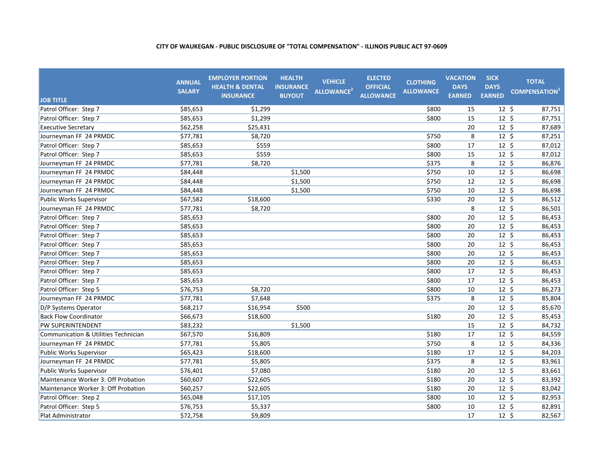| <b>JOB TITLE</b>                                | <b>ANNUAL</b><br><b>SALARY</b> | <b>EMPLOYER PORTION</b><br><b>HEALTH &amp; DENTAL</b><br><b>INSURANCE</b> | <b>HEALTH</b><br><b>INSURANCE</b><br><b>BUYOUT</b> | <b>VEHICLE</b><br>ALLOWANCE <sup>2</sup> | <b>ELECTED</b><br><b>OFFICIAL</b><br><b>ALLOWANCE</b> | <b>CLOTHING</b><br><b>ALLOWANCE</b> | <b>VACATION</b><br><b>DAYS</b><br><b>EARNED</b> | <b>SICK</b><br><b>DAYS</b><br><b>EARNED</b> | <b>TOTAL</b><br><b>COMPENSATION</b> |
|-------------------------------------------------|--------------------------------|---------------------------------------------------------------------------|----------------------------------------------------|------------------------------------------|-------------------------------------------------------|-------------------------------------|-------------------------------------------------|---------------------------------------------|-------------------------------------|
| Patrol Officer: Step 7                          | \$85,653                       | \$1,299                                                                   |                                                    |                                          |                                                       | \$800                               | 15                                              | $12 \; \text{S}$                            | 87,751                              |
| Patrol Officer: Step 7                          | \$85,653                       | \$1,299                                                                   |                                                    |                                          |                                                       | \$800                               | 15                                              | $12 \; \text{S}$                            | 87,751                              |
| <b>Executive Secretary</b>                      | \$62,258                       | \$25,431                                                                  |                                                    |                                          |                                                       |                                     | 20                                              | $12 \; \text{S}$                            | 87,689                              |
| Journeyman FF 24 PRMDC                          | \$77,781                       | \$8,720                                                                   |                                                    |                                          |                                                       | \$750                               | 8                                               | $12 \; \text{S}$                            | 87,251                              |
| Patrol Officer: Step 7                          | \$85,653                       | \$559                                                                     |                                                    |                                          |                                                       | \$800                               | 17                                              | 12 <sup>5</sup>                             | 87,012                              |
| Patrol Officer: Step 7                          | \$85,653                       | \$559                                                                     |                                                    |                                          |                                                       | \$800                               | 15                                              | $12 \; \text{S}$                            | 87,012                              |
| Journeyman FF 24 PRMDC                          | \$77,781                       | \$8,720                                                                   |                                                    |                                          |                                                       | \$375                               | 8                                               | $12 \; \text{S}$                            | 86,876                              |
| Journeyman FF 24 PRMDC                          | \$84,448                       |                                                                           | \$1,500                                            |                                          |                                                       | \$750                               | 10                                              | $12 \div$                                   | 86,698                              |
| Journeyman FF 24 PRMDC                          | \$84,448                       |                                                                           | \$1,500                                            |                                          |                                                       | \$750                               | 12                                              | $12 \;$ \$                                  | 86,698                              |
| Journeyman FF 24 PRMDC                          | \$84,448                       |                                                                           | \$1,500                                            |                                          |                                                       | \$750                               | 10                                              | $12 \; \text{S}$                            | 86,698                              |
| <b>Public Works Supervisor</b>                  | \$67,582                       | \$18,600                                                                  |                                                    |                                          |                                                       | \$330                               | 20                                              | $12 \; \text{S}$                            | 86,512                              |
| Journeyman FF 24 PRMDC                          | \$77,781                       | \$8,720                                                                   |                                                    |                                          |                                                       |                                     | 8                                               | 12 <sup>5</sup>                             | 86,501                              |
| Patrol Officer: Step 7                          | \$85,653                       |                                                                           |                                                    |                                          |                                                       | \$800                               | 20                                              | $12 \; \text{S}$                            | 86,453                              |
| Patrol Officer: Step 7                          | \$85,653                       |                                                                           |                                                    |                                          |                                                       | \$800                               | 20                                              | $12 \; \text{S}$                            | 86,453                              |
| Patrol Officer: Step 7                          | \$85,653                       |                                                                           |                                                    |                                          |                                                       | \$800                               | 20                                              | $12 \; \text{S}$                            | 86,453                              |
| Patrol Officer: Step 7                          | \$85,653                       |                                                                           |                                                    |                                          |                                                       | \$800                               | 20                                              | $12 \; \text{S}$                            | 86,453                              |
| Patrol Officer: Step 7                          | \$85,653                       |                                                                           |                                                    |                                          |                                                       | \$800                               | 20                                              | $12 \; \text{S}$                            | 86,453                              |
| Patrol Officer: Step 7                          | \$85,653                       |                                                                           |                                                    |                                          |                                                       | \$800                               | 20                                              | $12 \; \text{S}$                            | 86,453                              |
| Patrol Officer: Step 7                          | \$85,653                       |                                                                           |                                                    |                                          |                                                       | \$800                               | 17                                              | $12 \; \text{S}$                            | 86,453                              |
| Patrol Officer: Step 7                          | \$85,653                       |                                                                           |                                                    |                                          |                                                       | \$800                               | 17                                              | $12 \; \text{S}$                            | 86,453                              |
| Patrol Officer: Step 5                          | \$76,753                       | \$8,720                                                                   |                                                    |                                          |                                                       | \$800                               | 10                                              | $12 \div$                                   | 86,273                              |
| Journeyman FF 24 PRMDC                          | \$77,781                       | \$7,648                                                                   |                                                    |                                          |                                                       | \$375                               | 8                                               | $12 \;$ \$                                  | 85,804                              |
| D/P Systems Operator                            | \$68,217                       | \$16,954                                                                  | \$500                                              |                                          |                                                       |                                     | 20                                              | $12 \; \text{S}$                            | 85,670                              |
| <b>Back Flow Coordinator</b>                    | \$66,673                       | \$18,600                                                                  |                                                    |                                          |                                                       | \$180                               | 20                                              | $12 \; \text{S}$                            | 85,453                              |
| PW SUPERINTENDENT                               | \$83,232                       |                                                                           | \$1,500                                            |                                          |                                                       |                                     | 15                                              | $12 \; \text{S}$                            | 84,732                              |
| <b>Communication &amp; Utilities Technician</b> | \$67,570                       | \$16,809                                                                  |                                                    |                                          |                                                       | \$180                               | 17                                              | $12 \; \text{S}$                            | 84,559                              |
| Journeyman FF 24 PRMDC                          | \$77,781                       | \$5,805                                                                   |                                                    |                                          |                                                       | \$750                               | 8                                               | $12 \; \text{S}$                            | 84,336                              |
| Public Works Supervisor                         | \$65,423                       | \$18,600                                                                  |                                                    |                                          |                                                       | \$180                               | 17                                              | $12 \; \text{S}$                            | 84,203                              |
| Journeyman FF 24 PRMDC                          | \$77,781                       | \$5,805                                                                   |                                                    |                                          |                                                       | \$375                               | 8                                               | $12 \; \text{S}$                            | 83,961                              |
| Public Works Supervisor                         | \$76,401                       | \$7,080                                                                   |                                                    |                                          |                                                       | \$180                               | 20                                              | $12 \; \text{S}$                            | 83,661                              |
| Maintenance Worker 3: Off Probation             | \$60,607                       | \$22,605                                                                  |                                                    |                                          |                                                       | \$180                               | 20                                              | $12 \; \text{S}$                            | 83,392                              |
| Maintenance Worker 3: Off Probation             | \$60,257                       | \$22,605                                                                  |                                                    |                                          |                                                       | \$180                               | 20                                              | $12 \; \text{S}$                            | 83,042                              |
| Patrol Officer: Step 2                          | \$65,048                       | \$17,105                                                                  |                                                    |                                          |                                                       | \$800                               | 10                                              | $12 \; \text{S}$                            | 82,953                              |
| Patrol Officer: Step 5                          | \$76,753                       | \$5,337                                                                   |                                                    |                                          |                                                       | \$800                               | 10                                              | $12 \; \text{S}$                            | 82,891                              |
| Plat Administrator                              | \$72,758                       | \$9,809                                                                   |                                                    |                                          |                                                       |                                     | 17                                              | $12 \; \text{S}$                            | 82,567                              |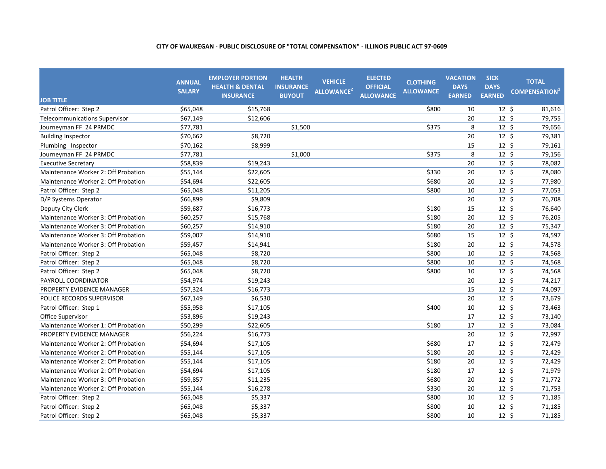| <b>JOB TITLE</b>                     | <b>ANNUAL</b><br><b>SALARY</b> | <b>EMPLOYER PORTION</b><br><b>HEALTH &amp; DENTAL</b><br><b>INSURANCE</b> | <b>HEALTH</b><br><b>INSURANCE</b><br><b>BUYOUT</b> | <b>VEHICLE</b><br>ALLOWANCE <sup>2</sup> | <b>ELECTED</b><br><b>OFFICIAL</b><br><b>ALLOWANCE</b> | <b>CLOTHING</b><br><b>ALLOWANCE</b> | <b>VACATION</b><br><b>DAYS</b><br><b>EARNED</b> | <b>SICK</b><br><b>DAYS</b><br><b>EARNED</b> | <b>TOTAL</b><br><b>COMPENSATION</b> <sup>+</sup> |
|--------------------------------------|--------------------------------|---------------------------------------------------------------------------|----------------------------------------------------|------------------------------------------|-------------------------------------------------------|-------------------------------------|-------------------------------------------------|---------------------------------------------|--------------------------------------------------|
| Patrol Officer: Step 2               | \$65,048                       | \$15,768                                                                  |                                                    |                                          |                                                       | \$800                               | 10                                              | $12 \; \text{S}$                            | 81,616                                           |
| <b>Telecommunications Supervisor</b> | \$67,149                       | \$12,606                                                                  |                                                    |                                          |                                                       |                                     | 20                                              | $12 \; \text{S}$                            | 79,755                                           |
| Journeyman FF 24 PRMDC               | \$77,781                       |                                                                           | \$1,500                                            |                                          |                                                       | \$375                               | 8                                               | 12 <sup>5</sup>                             | 79,656                                           |
| <b>Building Inspector</b>            | \$70,662                       | \$8,720                                                                   |                                                    |                                          |                                                       |                                     | 20                                              | $12 \; \text{S}$                            | 79,381                                           |
| Plumbing Inspector                   | \$70,162                       | \$8,999                                                                   |                                                    |                                          |                                                       |                                     | 15                                              | $12 \; \text{S}$                            | 79,161                                           |
| Journeyman FF 24 PRMDC               | \$77,781                       |                                                                           | \$1,000                                            |                                          |                                                       | \$375                               | 8                                               | $12 \; \text{S}$                            | 79,156                                           |
| <b>Executive Secretary</b>           | \$58,839                       | \$19,243                                                                  |                                                    |                                          |                                                       |                                     | 20                                              | $12 \;$ \$                                  | 78,082                                           |
| Maintenance Worker 2: Off Probation  | \$55,144                       | \$22,605                                                                  |                                                    |                                          |                                                       | \$330                               | 20                                              | $12 \;$ \$                                  | 78,080                                           |
| Maintenance Worker 2: Off Probation  | \$54,694                       | \$22,605                                                                  |                                                    |                                          |                                                       | \$680                               | 20                                              | $12 \;$ \$                                  | 77,980                                           |
| Patrol Officer: Step 2               | \$65,048                       | \$11,205                                                                  |                                                    |                                          |                                                       | \$800                               | 10                                              | $12 \; \xi$                                 | 77,053                                           |
| D/P Systems Operator                 | \$66,899                       | \$9,809                                                                   |                                                    |                                          |                                                       |                                     | 20                                              | $12 \; \text{S}$                            | 76,708                                           |
| Deputy City Clerk                    | \$59,687                       | \$16,773                                                                  |                                                    |                                          |                                                       | \$180                               | 15                                              | 12 <sup>5</sup>                             | 76,640                                           |
| Maintenance Worker 3: Off Probation  | \$60,257                       | \$15,768                                                                  |                                                    |                                          |                                                       | \$180                               | 20                                              | $12 \; \text{S}$                            | 76,205                                           |
| Maintenance Worker 3: Off Probation  | \$60,257                       | \$14,910                                                                  |                                                    |                                          |                                                       | \$180                               | 20                                              | 12 <sup>5</sup>                             | 75,347                                           |
| Maintenance Worker 3: Off Probation  | \$59,007                       | \$14,910                                                                  |                                                    |                                          |                                                       | \$680                               | 15                                              | $12 \; \text{S}$                            | 74,597                                           |
| Maintenance Worker 3: Off Probation  | \$59,457                       | \$14,941                                                                  |                                                    |                                          |                                                       | \$180                               | 20                                              | $12 \cdot 5$                                | 74,578                                           |
| Patrol Officer: Step 2               | \$65,048                       | \$8,720                                                                   |                                                    |                                          |                                                       | \$800                               | 10                                              | $12 \; \text{S}$                            | 74,568                                           |
| Patrol Officer: Step 2               | \$65,048                       | \$8,720                                                                   |                                                    |                                          |                                                       | \$800                               | 10                                              | 12 <sup>5</sup>                             | 74,568                                           |
| Patrol Officer: Step 2               | \$65,048                       | \$8,720                                                                   |                                                    |                                          |                                                       | \$800                               | 10                                              | $12 \; \text{S}$                            | 74,568                                           |
| PAYROLL COORDINATOR                  | \$54,974                       | \$19,243                                                                  |                                                    |                                          |                                                       |                                     | 20                                              | $12 \; \text{S}$                            | 74,217                                           |
| PROPERTY EVIDENCE MANAGER            | \$57,324                       | \$16,773                                                                  |                                                    |                                          |                                                       |                                     | 15                                              | $12 \;$ \$                                  | 74,097                                           |
| POLICE RECORDS SUPERVISOR            | \$67,149                       | \$6,530                                                                   |                                                    |                                          |                                                       |                                     | 20                                              | $12 \;$ \$                                  | 73,679                                           |
| Patrol Officer: Step 1               | \$55,958                       | \$17,105                                                                  |                                                    |                                          |                                                       | \$400                               | 10                                              | $12 \; \text{S}$                            | 73,463                                           |
| <b>Office Supervisor</b>             | \$53,896                       | \$19,243                                                                  |                                                    |                                          |                                                       |                                     | 17                                              | $12 \; \text{S}$                            | 73,140                                           |
| Maintenance Worker 1: Off Probation  | \$50,299                       | \$22,605                                                                  |                                                    |                                          |                                                       | \$180                               | 17                                              | $12 \; \text{S}$                            | 73,084                                           |
| PROPERTY EVIDENCE MANAGER            | \$56.224                       | \$16,773                                                                  |                                                    |                                          |                                                       |                                     | 20                                              | $12 \; \text{S}$                            | 72,997                                           |
| Maintenance Worker 2: Off Probation  | \$54,694                       | \$17,105                                                                  |                                                    |                                          |                                                       | \$680                               | 17                                              | 12 <sup>5</sup>                             | 72,479                                           |
| Maintenance Worker 2: Off Probation  | \$55,144                       | \$17,105                                                                  |                                                    |                                          |                                                       | \$180                               | 20                                              | $12 \; \text{S}$                            | 72,429                                           |
| Maintenance Worker 2: Off Probation  | \$55,144                       | \$17,105                                                                  |                                                    |                                          |                                                       | \$180                               | 20                                              | $12 \; \text{S}$                            | 72,429                                           |
| Maintenance Worker 2: Off Probation  | \$54,694                       | \$17,105                                                                  |                                                    |                                          |                                                       | \$180                               | 17                                              | $12 \; \text{S}$                            | 71,979                                           |
| Maintenance Worker 3: Off Probation  | \$59,857                       | \$11,235                                                                  |                                                    |                                          |                                                       | \$680                               | 20                                              | $12 \text{ } 5$                             | 71,772                                           |
| Maintenance Worker 2: Off Probation  | \$55,144                       | \$16,278                                                                  |                                                    |                                          |                                                       | \$330                               | 20                                              | $12 \; \text{S}$                            | 71,753                                           |
| Patrol Officer: Step 2               | \$65,048                       | \$5,337                                                                   |                                                    |                                          |                                                       | \$800                               | 10                                              | $12 \; \text{S}$                            | 71,185                                           |
| Patrol Officer: Step 2               | \$65,048                       | \$5,337                                                                   |                                                    |                                          |                                                       | \$800                               | 10                                              | $12 \; \text{S}$                            | 71,185                                           |
| Patrol Officer: Step 2               | \$65,048                       | \$5,337                                                                   |                                                    |                                          |                                                       | \$800                               | 10                                              | $12 \; \text{S}$                            | 71,185                                           |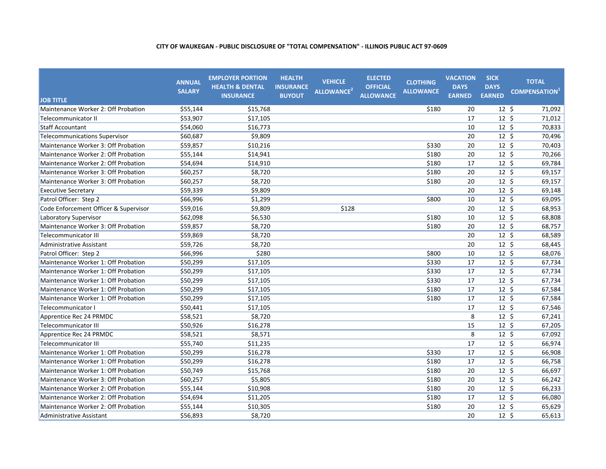| <b>JOB TITLE</b>                      | <b>ANNUAL</b><br><b>SALARY</b> | <b>EMPLOYER PORTION</b><br><b>HEALTH &amp; DENTAL</b><br><b>INSURANCE</b> | <b>HEALTH</b><br><b>INSURANCE</b><br><b>BUYOUT</b> | <b>VEHICLE</b><br>ALLOWANCE <sup>2</sup> | <b>ELECTED</b><br><b>OFFICIAL</b><br><b>ALLOWANCE</b> | <b>CLOTHING</b><br><b>ALLOWANCE</b> | <b>VACATION</b><br><b>DAYS</b><br><b>EARNED</b> | <b>SICK</b><br><b>DAYS</b><br><b>EARNED</b> | <b>TOTAL</b><br><b>COMPENSATION</b> |
|---------------------------------------|--------------------------------|---------------------------------------------------------------------------|----------------------------------------------------|------------------------------------------|-------------------------------------------------------|-------------------------------------|-------------------------------------------------|---------------------------------------------|-------------------------------------|
| Maintenance Worker 2: Off Probation   | \$55,144                       | \$15,768                                                                  |                                                    |                                          |                                                       | \$180                               | 20                                              | 12 <sup>5</sup>                             | 71,092                              |
| Telecommunicator II                   | \$53,907                       | \$17,105                                                                  |                                                    |                                          |                                                       |                                     | 17                                              | $12 \text{ } 5$                             | 71,012                              |
| <b>Staff Accountant</b>               | \$54,060                       | \$16,773                                                                  |                                                    |                                          |                                                       |                                     | 10                                              | $12 \; \text{S}$                            | 70,833                              |
| Telecommunications Supervisor         | \$60,687                       | \$9,809                                                                   |                                                    |                                          |                                                       |                                     | 20                                              | 12 <sup>5</sup>                             | 70,496                              |
| Maintenance Worker 3: Off Probation   | \$59,857                       | \$10,216                                                                  |                                                    |                                          |                                                       | \$330                               | 20                                              | $12 \cdot 5$                                | 70,403                              |
| Maintenance Worker 2: Off Probation   | \$55,144                       | \$14,941                                                                  |                                                    |                                          |                                                       | \$180                               | 20                                              | $12 \; \text{S}$                            | 70,266                              |
| Maintenance Worker 2: Off Probation   | \$54,694                       | \$14,910                                                                  |                                                    |                                          |                                                       | \$180                               | 17                                              | $12 \; \text{S}$                            | 69,784                              |
| Maintenance Worker 3: Off Probation   | \$60,257                       | \$8,720                                                                   |                                                    |                                          |                                                       | \$180                               | 20                                              | $12 \;$ \$                                  | 69,157                              |
| Maintenance Worker 3: Off Probation   | \$60,257                       | \$8,720                                                                   |                                                    |                                          |                                                       | \$180                               | 20                                              | $12 \; \text{S}$                            | 69,157                              |
| <b>Executive Secretary</b>            | \$59,339                       | \$9,809                                                                   |                                                    |                                          |                                                       |                                     | 20                                              | $12 \; \text{S}$                            | 69,148                              |
| Patrol Officer: Step 2                | \$66,996                       | \$1,299                                                                   |                                                    |                                          |                                                       | \$800                               | 10                                              | 12 <sup>5</sup>                             | 69,095                              |
| Code Enforcement Officer & Supervisor | \$59,016                       | \$9,809                                                                   |                                                    | \$128                                    |                                                       |                                     | 20                                              | $12 \; \text{S}$                            | 68,953                              |
| Laboratory Supervisor                 | \$62,098                       | \$6,530                                                                   |                                                    |                                          |                                                       | \$180                               | 10                                              | $12 \cdot 5$                                | 68,808                              |
| Maintenance Worker 3: Off Probation   | \$59,857                       | \$8,720                                                                   |                                                    |                                          |                                                       | \$180                               | 20                                              | $12 \; \text{S}$                            | 68,757                              |
| <b>Telecommunicator III</b>           | \$59,869                       | \$8,720                                                                   |                                                    |                                          |                                                       |                                     | 20                                              | $12 \cdot 5$                                | 68,589                              |
| <b>Administrative Assistant</b>       | \$59,726                       | \$8,720                                                                   |                                                    |                                          |                                                       |                                     | 20                                              | $12 \; \text{S}$                            | 68,445                              |
| Patrol Officer: Step 2                | \$66,996                       | \$280                                                                     |                                                    |                                          |                                                       | \$800                               | 10                                              | $12 \text{ } 5$                             | 68,076                              |
| Maintenance Worker 1: Off Probation   | \$50,299                       | \$17,105                                                                  |                                                    |                                          |                                                       | \$330                               | 17                                              | $12 \; \text{S}$                            | 67,734                              |
| Maintenance Worker 1: Off Probation   | \$50,299                       | \$17,105                                                                  |                                                    |                                          |                                                       | \$330                               | 17                                              | $12 \; \text{S}$                            | 67,734                              |
| Maintenance Worker 1: Off Probation   | \$50,299                       | \$17,105                                                                  |                                                    |                                          |                                                       | \$330                               | 17                                              | $12 \; \text{S}$                            | 67,734                              |
| Maintenance Worker 1: Off Probation   | \$50,299                       | \$17,105                                                                  |                                                    |                                          |                                                       | \$180                               | 17                                              | $12 \;$ \$                                  | 67,584                              |
| Maintenance Worker 1: Off Probation   | \$50,299                       | \$17,105                                                                  |                                                    |                                          |                                                       | \$180                               | 17                                              | $12 \;$ \$                                  | 67,584                              |
| Telecommunicator I                    | \$50,441                       | \$17,105                                                                  |                                                    |                                          |                                                       |                                     | 17                                              | $12 \; \text{S}$                            | 67,546                              |
| Apprentice Rec 24 PRMDC               | \$58,521                       | \$8,720                                                                   |                                                    |                                          |                                                       |                                     | 8                                               | $12 \; \text{S}$                            | 67,241                              |
| <b>Telecommunicator III</b>           | \$50,926                       | \$16,278                                                                  |                                                    |                                          |                                                       |                                     | 15                                              | 12 <sup>5</sup>                             | 67,205                              |
| Apprentice Rec 24 PRMDC               | \$58,521                       | \$8,571                                                                   |                                                    |                                          |                                                       |                                     | 8                                               | $12 \; \text{S}$                            | 67,092                              |
| <b>Telecommunicator III</b>           | \$55,740                       | \$11,235                                                                  |                                                    |                                          |                                                       |                                     | 17                                              | $12 \; \text{S}$                            | 66,974                              |
| Maintenance Worker 1: Off Probation   | \$50,299                       | \$16,278                                                                  |                                                    |                                          |                                                       | \$330                               | 17                                              | $12 \; \text{S}$                            | 66,908                              |
| Maintenance Worker 1: Off Probation   | \$50,299                       | \$16,278                                                                  |                                                    |                                          |                                                       | \$180                               | 17                                              | $12 \cdot 5$                                | 66,758                              |
| Maintenance Worker 1: Off Probation   | \$50,749                       | \$15,768                                                                  |                                                    |                                          |                                                       | \$180                               | 20                                              | $12 \; \text{S}$                            | 66,697                              |
| Maintenance Worker 3: Off Probation   | \$60,257                       | \$5,805                                                                   |                                                    |                                          |                                                       | \$180                               | 20                                              | $12 \text{ } 5$                             | 66,242                              |
| Maintenance Worker 2: Off Probation   | \$55,144                       | \$10,908                                                                  |                                                    |                                          |                                                       | \$180                               | 20                                              | $12 \text{ } 5$                             | 66,233                              |
| Maintenance Worker 2: Off Probation   | \$54,694                       | \$11,205                                                                  |                                                    |                                          |                                                       | \$180                               | 17                                              | $12 \; \text{S}$                            | 66,080                              |
| Maintenance Worker 2: Off Probation   | \$55,144                       | \$10,305                                                                  |                                                    |                                          |                                                       | \$180                               | 20                                              | $12 \cdot 5$                                | 65,629                              |
| Administrative Assistant              | \$56,893                       | \$8,720                                                                   |                                                    |                                          |                                                       |                                     | 20                                              | $12 \; \text{S}$                            | 65,613                              |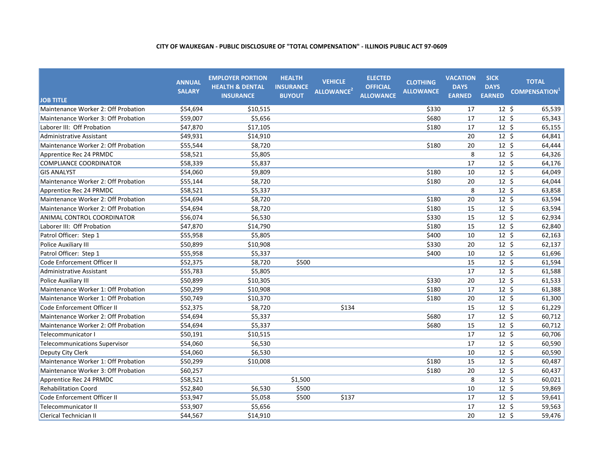| <b>JOB TITLE</b>                     | <b>ANNUAL</b><br><b>SALARY</b> | <b>EMPLOYER PORTION</b><br><b>HEALTH &amp; DENTAL</b><br><b>INSURANCE</b> | <b>HEALTH</b><br><b>INSURANCE</b><br><b>BUYOUT</b> | <b>VEHICLE</b><br>ALLOWANCE <sup>2</sup> | <b>ELECTED</b><br><b>OFFICIAL</b><br><b>ALLOWANCE</b> | <b>CLOTHING</b><br><b>ALLOWANCE</b> | <b>VACATION</b><br><b>DAYS</b><br><b>EARNED</b> | <b>SICK</b><br><b>DAYS</b><br><b>EARNED</b> | <b>TOTAL</b><br><b>COMPENSATION</b> <sup>+</sup> |
|--------------------------------------|--------------------------------|---------------------------------------------------------------------------|----------------------------------------------------|------------------------------------------|-------------------------------------------------------|-------------------------------------|-------------------------------------------------|---------------------------------------------|--------------------------------------------------|
| Maintenance Worker 2: Off Probation  | \$54,694                       | \$10,515                                                                  |                                                    |                                          |                                                       | \$330                               | 17                                              | 12 <sup>5</sup>                             | 65,539                                           |
| Maintenance Worker 3: Off Probation  | \$59,007                       | \$5,656                                                                   |                                                    |                                          |                                                       | \$680                               | 17                                              | $12 \; \text{S}$                            | 65,343                                           |
| Laborer III: Off Probation           | \$47,870                       | \$17,105                                                                  |                                                    |                                          |                                                       | \$180                               | 17                                              | $12 \; \text{S}$                            | 65,155                                           |
| <b>Administrative Assistant</b>      | \$49,931                       | \$14,910                                                                  |                                                    |                                          |                                                       |                                     | 20                                              | $12 \; \text{S}$                            | 64,841                                           |
| Maintenance Worker 2: Off Probation  | \$55,544                       | \$8,720                                                                   |                                                    |                                          |                                                       | \$180                               | 20                                              | 12 <sup>5</sup>                             | 64,444                                           |
| Apprentice Rec 24 PRMDC              | \$58,521                       | \$5,805                                                                   |                                                    |                                          |                                                       |                                     | 8                                               | $12 \; \text{S}$                            | 64,326                                           |
| COMPLIANCE COORDINATOR               | \$58,339                       | \$5,837                                                                   |                                                    |                                          |                                                       |                                     | 17                                              | $12 \;$ \$                                  | 64,176                                           |
| <b>GIS ANALYST</b>                   | \$54,060                       | \$9,809                                                                   |                                                    |                                          |                                                       | \$180                               | 10                                              | $12 \; \text{S}$                            | 64,049                                           |
| Maintenance Worker 2: Off Probation  | \$55,144                       | \$8,720                                                                   |                                                    |                                          |                                                       | \$180                               | 20                                              | $12 \; \text{S}$                            | 64,044                                           |
| Apprentice Rec 24 PRMDC              | \$58,521                       | \$5,337                                                                   |                                                    |                                          |                                                       |                                     | 8                                               | $12 \; \text{S}$                            | 63,858                                           |
| Maintenance Worker 2: Off Probation  | \$54,694                       | \$8,720                                                                   |                                                    |                                          |                                                       | \$180                               | 20                                              | $12 \; \text{S}$                            | 63,594                                           |
| Maintenance Worker 2: Off Probation  | \$54.694                       | \$8,720                                                                   |                                                    |                                          |                                                       | \$180                               | 15                                              | $12 \; \text{S}$                            | 63,594                                           |
| ANIMAL CONTROL COORDINATOR           | \$56,074                       | \$6,530                                                                   |                                                    |                                          |                                                       | \$330                               | 15                                              | $12 \; \text{S}$                            | 62,934                                           |
| Laborer III: Off Probation           | \$47,870                       | \$14,790                                                                  |                                                    |                                          |                                                       | \$180                               | 15                                              | $12 \; \text{S}$                            | 62,840                                           |
| Patrol Officer: Step 1               | \$55,958                       | \$5,805                                                                   |                                                    |                                          |                                                       | \$400                               | 10                                              | $12 \cdot 5$                                | 62,163                                           |
| Police Auxiliary III                 | \$50,899                       | \$10,908                                                                  |                                                    |                                          |                                                       | \$330                               | 20                                              | $12 \; \text{S}$                            | 62,137                                           |
| Patrol Officer: Step 1               | \$55,958                       | \$5,337                                                                   |                                                    |                                          |                                                       | \$400                               | 10                                              | 12 <sup>5</sup>                             | 61,696                                           |
| Code Enforcement Officer II          | \$52,375                       | \$8,720                                                                   | \$500                                              |                                          |                                                       |                                     | 15                                              | $12 \; \text{S}$                            | 61,594                                           |
| <b>Administrative Assistant</b>      | \$55,783                       | \$5,805                                                                   |                                                    |                                          |                                                       |                                     | 17                                              | $12 \; \text{S}$                            | 61,588                                           |
| Police Auxiliary III                 | \$50,899                       | \$10,305                                                                  |                                                    |                                          |                                                       | \$330                               | 20                                              | $12 \;$ \$                                  | 61,533                                           |
| Maintenance Worker 1: Off Probation  | \$50,299                       | \$10,908                                                                  |                                                    |                                          |                                                       | \$180                               | 17                                              | $12 \; \text{S}$                            | 61,388                                           |
| Maintenance Worker 1: Off Probation  | \$50,749                       | \$10,370                                                                  |                                                    |                                          |                                                       | \$180                               | 20                                              | $12 \; \text{S}$                            | 61,300                                           |
| Code Enforcement Officer II          | \$52,375                       | \$8,720                                                                   |                                                    | \$134                                    |                                                       |                                     | 15                                              | $12 \; \text{S}$                            | 61,229                                           |
| Maintenance Worker 2: Off Probation  | \$54,694                       | \$5,337                                                                   |                                                    |                                          |                                                       | \$680                               | 17                                              | $12 \; \text{S}$                            | 60,712                                           |
| Maintenance Worker 2: Off Probation  | \$54,694                       | \$5,337                                                                   |                                                    |                                          |                                                       | \$680                               | 15                                              | $12 \; \text{S}$                            | 60,712                                           |
| Telecommunicator I                   | \$50,191                       | \$10,515                                                                  |                                                    |                                          |                                                       |                                     | 17                                              | $12 \; \text{S}$                            | 60,706                                           |
| <b>Telecommunications Supervisor</b> | \$54,060                       | \$6,530                                                                   |                                                    |                                          |                                                       |                                     | 17                                              | $12 \; \text{S}$                            | 60,590                                           |
| Deputy City Clerk                    | \$54,060                       | \$6,530                                                                   |                                                    |                                          |                                                       |                                     | 10                                              | $12 \; \text{S}$                            | 60,590                                           |
| Maintenance Worker 1: Off Probation  | \$50,299                       | \$10,008                                                                  |                                                    |                                          |                                                       | \$180                               | 15                                              | $12 \text{ }$                               | 60,487                                           |
| Maintenance Worker 3: Off Probation  | \$60,257                       |                                                                           |                                                    |                                          |                                                       | \$180                               | 20                                              | $12 \; \text{S}$                            | 60,437                                           |
| Apprentice Rec 24 PRMDC              | \$58,521                       |                                                                           | \$1,500                                            |                                          |                                                       |                                     | 8                                               | $12 \; \text{S}$                            | 60,021                                           |
| <b>Rehabilitation Coord</b>          | \$52,840                       | \$6,530                                                                   | \$500                                              |                                          |                                                       |                                     | 10                                              | $12 \; \text{S}$                            | 59,869                                           |
| Code Enforcement Officer II          | \$53,947                       | \$5,058                                                                   | \$500                                              | \$137                                    |                                                       |                                     | 17                                              | $12 \; \text{S}$                            | 59,641                                           |
| <b>Telecommunicator II</b>           | \$53,907                       | \$5,656                                                                   |                                                    |                                          |                                                       |                                     | 17                                              | $12 \; \text{S}$                            | 59,563                                           |
| <b>Clerical Technician II</b>        | \$44,567                       | \$14,910                                                                  |                                                    |                                          |                                                       |                                     | 20                                              | $12 \; \text{S}$                            | 59,476                                           |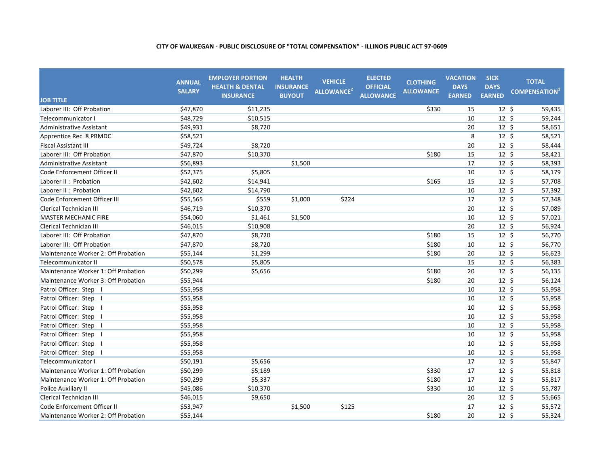| <b>JOB TITLE</b>                    | <b>ANNUAL</b><br><b>SALARY</b> | <b>EMPLOYER PORTION</b><br><b>HEALTH &amp; DENTAL</b><br><b>INSURANCE</b> | <b>HEALTH</b><br><b>INSURANCE</b><br><b>BUYOUT</b> | <b>VEHICLE</b><br><b>ALLOWANCE</b> <sup>2</sup> | <b>ELECTED</b><br><b>OFFICIAL</b><br><b>ALLOWANCE</b> | <b>CLOTHING</b><br><b>ALLOWANCE</b> | <b>VACATION</b><br><b>DAYS</b><br><b>EARNED</b> | <b>SICK</b><br><b>DAYS</b><br><b>EARNED</b> | <b>TOTAL</b><br><b>COMPENSATION</b> |
|-------------------------------------|--------------------------------|---------------------------------------------------------------------------|----------------------------------------------------|-------------------------------------------------|-------------------------------------------------------|-------------------------------------|-------------------------------------------------|---------------------------------------------|-------------------------------------|
| Laborer III: Off Probation          | \$47,870                       | \$11,235                                                                  |                                                    |                                                 |                                                       | \$330                               | 15                                              | $12 \;$ \$                                  | 59,435                              |
| Telecommunicator I                  | \$48,729                       | \$10,515                                                                  |                                                    |                                                 |                                                       |                                     | 10                                              | $12 \; \text{S}$                            | 59,244                              |
| Administrative Assistant            | \$49,931                       | \$8,720                                                                   |                                                    |                                                 |                                                       |                                     | 20                                              | 12 <sup>5</sup>                             | 58,651                              |
| Apprentice Rec 8 PRMDC              | \$58,521                       |                                                                           |                                                    |                                                 |                                                       |                                     | 8                                               | $12 \; \text{S}$                            | 58,521                              |
| <b>Fiscal Assistant III</b>         | \$49,724                       | \$8,720                                                                   |                                                    |                                                 |                                                       |                                     | 20                                              | 12 <sup>5</sup>                             | 58,444                              |
| Laborer III: Off Probation          | \$47,870                       | \$10,370                                                                  |                                                    |                                                 |                                                       | \$180                               | 15                                              | $12 \;$ \$                                  | 58,421                              |
| <b>Administrative Assistant</b>     | \$56,893                       |                                                                           | \$1,500                                            |                                                 |                                                       |                                     | 17                                              | $12 \;$ \$                                  | 58,393                              |
| Code Enforcement Officer II         | \$52,375                       | \$5,805                                                                   |                                                    |                                                 |                                                       |                                     | 10                                              | $12 \;$ \$                                  | 58,179                              |
| Laborer II: Probation               | \$42,602                       | \$14,941                                                                  |                                                    |                                                 |                                                       | \$165                               | 15                                              | $12 \;$ \$                                  | 57,708                              |
| Laborer II: Probation               | \$42,602                       | \$14,790                                                                  |                                                    |                                                 |                                                       |                                     | 10                                              | $12 \; \text{S}$                            | 57,392                              |
| Code Enforcement Officer III        | \$55,565                       | \$559                                                                     | \$1,000                                            | \$224                                           |                                                       |                                     | 17                                              | $12 \; \text{S}$                            | 57,348                              |
| <b>Clerical Technician III</b>      | \$46,719                       | \$10,370                                                                  |                                                    |                                                 |                                                       |                                     | 20                                              | 12 <sup>5</sup>                             | 57,089                              |
| <b>MASTER MECHANIC FIRE</b>         | \$54,060                       | \$1,461                                                                   | \$1,500                                            |                                                 |                                                       |                                     | 10                                              | 12 <sup>5</sup>                             | 57,021                              |
| <b>Clerical Technician III</b>      | \$46,015                       | \$10,908                                                                  |                                                    |                                                 |                                                       |                                     | 20                                              | $12 \; \text{S}$                            | 56,924                              |
| Laborer III: Off Probation          | \$47,870                       | \$8,720                                                                   |                                                    |                                                 |                                                       | \$180                               | 15                                              | $12 \; \text{S}$                            | 56,770                              |
| Laborer III: Off Probation          | \$47,870                       | \$8,720                                                                   |                                                    |                                                 |                                                       | \$180                               | 10                                              | $12 \; \text{S}$                            | 56,770                              |
| Maintenance Worker 2: Off Probation | \$55,144                       | \$1,299                                                                   |                                                    |                                                 |                                                       | \$180                               | 20                                              | $12 \; \text{S}$                            | 56,623                              |
| <b>Telecommunicator II</b>          | \$50,578                       | \$5,805                                                                   |                                                    |                                                 |                                                       |                                     | 15                                              | 12 <sup>5</sup>                             | 56,383                              |
| Maintenance Worker 1: Off Probation | \$50,299                       | \$5,656                                                                   |                                                    |                                                 |                                                       | \$180                               | 20                                              | $12 \; \text{S}$                            | 56,135                              |
| Maintenance Worker 3: Off Probation | \$55,944                       |                                                                           |                                                    |                                                 |                                                       | \$180                               | 20                                              | 12 <sup>5</sup>                             | 56,124                              |
| Patrol Officer: Step                | \$55,958                       |                                                                           |                                                    |                                                 |                                                       |                                     | 10                                              | $12 \div$                                   | 55,958                              |
| Patrol Officer: Step I              | \$55,958                       |                                                                           |                                                    |                                                 |                                                       |                                     | 10                                              | $12 \;$ \$                                  | 55,958                              |
| Patrol Officer: Step                | \$55,958                       |                                                                           |                                                    |                                                 |                                                       |                                     | 10                                              | $12 \; \text{S}$                            | 55,958                              |
| Patrol Officer: Step                | \$55,958                       |                                                                           |                                                    |                                                 |                                                       |                                     | 10                                              | $12 \; \text{S}$                            | 55,958                              |
| Patrol Officer: Step                | \$55,958                       |                                                                           |                                                    |                                                 |                                                       |                                     | 10                                              | 12 <sup>5</sup>                             | 55,958                              |
| Patrol Officer: Step                | \$55.958                       |                                                                           |                                                    |                                                 |                                                       |                                     | 10                                              | $12 \; \text{S}$                            | 55,958                              |
| Patrol Officer: Step                | \$55,958                       |                                                                           |                                                    |                                                 |                                                       |                                     | 10                                              | 12 <sup>5</sup>                             | 55,958                              |
| Patrol Officer: Step                | \$55,958                       |                                                                           |                                                    |                                                 |                                                       |                                     | 10                                              | $12 \; \text{S}$                            | 55,958                              |
| Telecommunicator I                  | \$50,191                       | \$5,656                                                                   |                                                    |                                                 |                                                       |                                     | 17                                              | 12 <sup>5</sup>                             | 55,847                              |
| Maintenance Worker 1: Off Probation | \$50,299                       | \$5,189                                                                   |                                                    |                                                 |                                                       | \$330                               | 17                                              | $12 \; \text{S}$                            | 55,818                              |
| Maintenance Worker 1: Off Probation | \$50,299                       | \$5,337                                                                   |                                                    |                                                 |                                                       | \$180                               | 17                                              | 12 <sup>5</sup>                             | 55,817                              |
| Police Auxiliary II                 | \$45,086                       | \$10,370                                                                  |                                                    |                                                 |                                                       | \$330                               | 10                                              | $12 \; \text{S}$                            | 55,787                              |
| <b>Clerical Technician III</b>      | \$46,015                       | \$9,650                                                                   |                                                    |                                                 |                                                       |                                     | 20                                              | 12 <sup>5</sup>                             | 55,665                              |
| Code Enforcement Officer II         | \$53,947                       |                                                                           | \$1,500                                            | \$125                                           |                                                       |                                     | 17                                              | $12 \;$ \$                                  | 55,572                              |
| Maintenance Worker 2: Off Probation | \$55,144                       |                                                                           |                                                    |                                                 |                                                       | \$180                               | 20                                              | $12 \; \text{S}$                            | 55,324                              |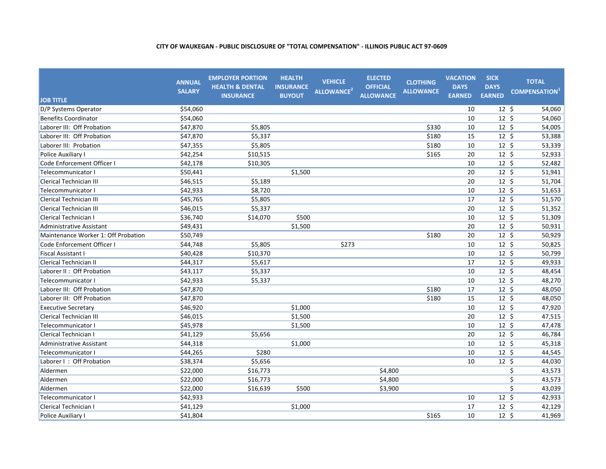| <b>JOB TITLE</b>                    | <b>ANNUAL</b><br><b>SALARY</b> | <b>EMPLOYER PORTION</b><br><b>HEALTH &amp; DENTAL</b><br><b>INSURANCE</b> | <b>HEALTH</b><br><b>INSURANCE</b><br><b>BUYOUT</b> | <b>VEHICLE</b><br>ALLOWANCE <sup>2</sup> | <b>ELECTED</b><br><b>OFFICIAL</b><br><b>ALLOWANCE</b> | <b>CLOTHING</b><br><b>ALLOWANCE</b> | <b>VACATION</b><br><b>DAYS</b><br><b>EARNED</b> | <b>SICK</b><br><b>DAYS</b><br><b>EARNED</b> | <b>TOTAL</b><br><b>COMPENSATION</b> |
|-------------------------------------|--------------------------------|---------------------------------------------------------------------------|----------------------------------------------------|------------------------------------------|-------------------------------------------------------|-------------------------------------|-------------------------------------------------|---------------------------------------------|-------------------------------------|
| D/P Systems Operator                | \$54,060                       |                                                                           |                                                    |                                          |                                                       |                                     | 10                                              | 12 <sup>5</sup>                             | 54,060                              |
| <b>Benefits Coordinator</b>         | \$54,060                       |                                                                           |                                                    |                                          |                                                       |                                     | 10                                              | $12 \; \text{S}$                            | 54,060                              |
| Laborer III: Off Probation          | \$47,870                       | \$5,805                                                                   |                                                    |                                          |                                                       | \$330                               | 10                                              | $12 \text{ }$                               | 54,005                              |
| Laborer III: Off Probation          | \$47,870                       | \$5,337                                                                   |                                                    |                                          |                                                       | \$180                               | 15                                              | $12 \; \text{S}$                            | 53,388                              |
| Laborer III: Probation              | \$47,355                       | \$5,805                                                                   |                                                    |                                          |                                                       | \$180                               | 10                                              | $12 \; \text{S}$                            | 53,339                              |
| Police Auxiliary I                  | \$42,254                       | \$10,515                                                                  |                                                    |                                          |                                                       | \$165                               | 20                                              | $12 \text{ }$                               | 52,933                              |
| Code Enforcement Officer I          | \$42,178                       | \$10,305                                                                  |                                                    |                                          |                                                       |                                     | 10                                              | $12 \; \text{S}$                            | 52,482                              |
| Telecommunicator I                  | \$50,441                       |                                                                           | \$1,500                                            |                                          |                                                       |                                     | 20                                              | $12 \; \text{S}$                            | 51,941                              |
| Clerical Technician III             | \$46,515                       | \$5,189                                                                   |                                                    |                                          |                                                       |                                     | 20                                              | $12 \; \text{S}$                            | 51,704                              |
| Telecommunicator I                  | \$42,933                       | \$8,720                                                                   |                                                    |                                          |                                                       |                                     | 10                                              | $12 \; \text{S}$                            | 51,653                              |
| Clerical Technician III             | \$45,765                       | \$5,805                                                                   |                                                    |                                          |                                                       |                                     | 17                                              | $12 \; \text{S}$                            | 51,570                              |
| <b>Clerical Technician III</b>      | \$46,015                       | \$5,337                                                                   |                                                    |                                          |                                                       |                                     | 20                                              | $12 \; \text{S}$                            | 51,352                              |
| Clerical Technician I               | \$36,740                       | \$14,070                                                                  | \$500                                              |                                          |                                                       |                                     | 10                                              | $12 \cdot 5$                                | 51,309                              |
| <b>Administrative Assistant</b>     | \$49,431                       |                                                                           | \$1,500                                            |                                          |                                                       |                                     | 20                                              | $12 \; \text{S}$                            | 50,931                              |
| Maintenance Worker 1: Off Probation | \$50,749                       |                                                                           |                                                    |                                          |                                                       | \$180                               | 20                                              | $12 \; \text{S}$                            | 50,929                              |
| Code Enforcement Officer I          | \$44,748                       | \$5,805                                                                   |                                                    | \$273                                    |                                                       |                                     | 10                                              | $12 \; \text{S}$                            | 50,825                              |
| <b>Fiscal Assistant I</b>           | \$40,428                       | \$10,370                                                                  |                                                    |                                          |                                                       |                                     | 10                                              | $12 \; \text{S}$                            | 50,799                              |
| <b>Clerical Technician II</b>       | \$44,317                       | \$5,617                                                                   |                                                    |                                          |                                                       |                                     | 17                                              | 12 <sup>5</sup>                             | 49,933                              |
| Laborer II: Off Probation           | \$43,117                       | \$5,337                                                                   |                                                    |                                          |                                                       |                                     | 10                                              | $12 \text{ }$                               | 48,454                              |
| <b>Telecommunicator I</b>           | \$42,933                       | \$5,337                                                                   |                                                    |                                          |                                                       |                                     | 10                                              | $12 \; \text{S}$                            | 48,270                              |
| Laborer III: Off Probation          | \$47,870                       |                                                                           |                                                    |                                          |                                                       | \$180                               | 17                                              | $12 \; \text{S}$                            | 48,050                              |
| Laborer III: Off Probation          | \$47,870                       |                                                                           |                                                    |                                          |                                                       | \$180                               | 15                                              | $12 \; \text{S}$                            | 48,050                              |
| <b>Executive Secretary</b>          | \$46,920                       |                                                                           | \$1,000                                            |                                          |                                                       |                                     | 10                                              | $12 \; \text{S}$                            | 47,920                              |
| Clerical Technician III             | \$46,015                       |                                                                           | \$1,500                                            |                                          |                                                       |                                     | 20                                              | $12 \; \text{S}$                            | 47,515                              |
| Telecommunicator I                  | \$45,978                       |                                                                           | \$1,500                                            |                                          |                                                       |                                     | 10                                              | $12 \; \text{S}$                            | 47,478                              |
| <b>Clerical Technician I</b>        | \$41,129                       | \$5,656                                                                   |                                                    |                                          |                                                       |                                     | 20                                              | $12 \text{ }$                               | 46,784                              |
| <b>Administrative Assistant</b>     | \$44,318                       |                                                                           | \$1,000                                            |                                          |                                                       |                                     | 10                                              | $12 \; \text{S}$                            | 45,318                              |
| Telecommunicator I                  | \$44,265                       | \$280                                                                     |                                                    |                                          |                                                       |                                     | 10                                              | $12 \; \text{S}$                            | 44,545                              |
| Laborer I : Off Probation           | \$38,374                       | \$5,656                                                                   |                                                    |                                          |                                                       |                                     | 10                                              | $12 \; \text{S}$                            | 44,030                              |
| Aldermen                            | \$22,000                       | \$16,773                                                                  |                                                    |                                          | \$4,800                                               |                                     |                                                 |                                             | \$<br>43,573                        |
| Aldermen                            | \$22,000                       | \$16,773                                                                  |                                                    |                                          | \$4,800                                               |                                     |                                                 |                                             | \$<br>43,573                        |
| Aldermen                            | \$22,000                       | \$16,639                                                                  | \$500                                              |                                          | \$3,900                                               |                                     |                                                 |                                             | \$<br>43,039                        |
| Telecommunicator I                  | \$42,933                       |                                                                           |                                                    |                                          |                                                       |                                     | 10                                              | $12 \; \text{S}$                            | 42,933                              |
| Clerical Technician I               | \$41,129                       |                                                                           | \$1,000                                            |                                          |                                                       |                                     | 17                                              | $12 \; \text{S}$                            | 42,129                              |
| Police Auxiliary I                  | \$41,804                       |                                                                           |                                                    |                                          |                                                       | \$165                               | 10                                              | $12 \; \text{S}$                            | 41,969                              |